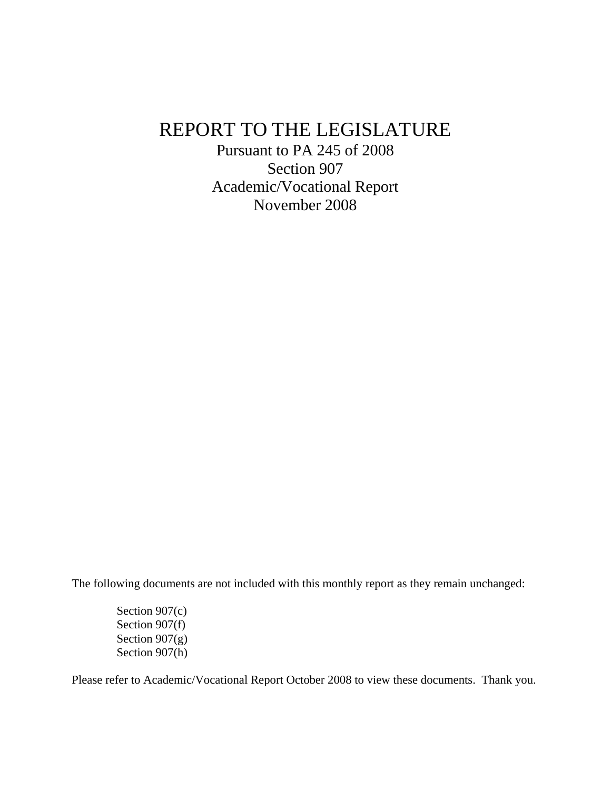# REPORT TO THE LEGISLATURE

Pursuant to PA 245 of 2008 Section 907 Academic/Vocational Report November 2008

The following documents are not included with this monthly report as they remain unchanged:

Section 907(c) Section 907(f) Section  $907(g)$ Section 907(h)

Please refer to Academic/Vocational Report October 2008 to view these documents. Thank you.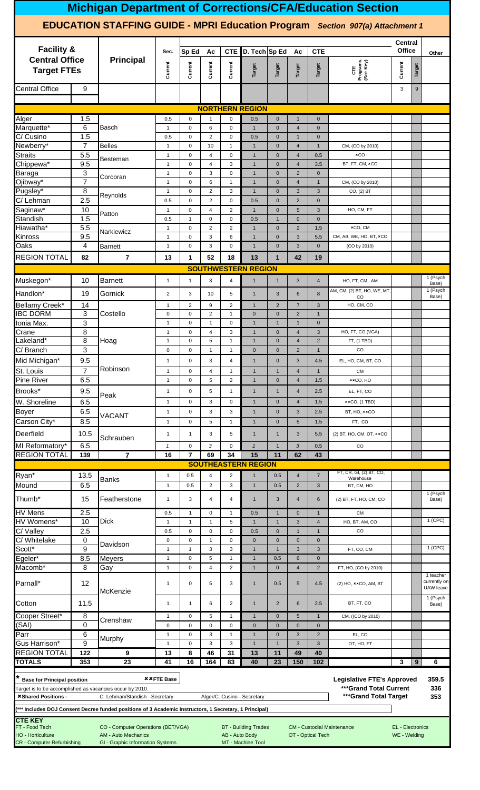|                                                                                                                       |                                                                                                       |                                                                                                      |                                         |                             |                               |                                             |                                                  |                             |                                   |                             | <b>Michigan Department of Corrections/CFA/Education Section</b>                       |                                         |        |                                        |
|-----------------------------------------------------------------------------------------------------------------------|-------------------------------------------------------------------------------------------------------|------------------------------------------------------------------------------------------------------|-----------------------------------------|-----------------------------|-------------------------------|---------------------------------------------|--------------------------------------------------|-----------------------------|-----------------------------------|-----------------------------|---------------------------------------------------------------------------------------|-----------------------------------------|--------|----------------------------------------|
|                                                                                                                       |                                                                                                       |                                                                                                      |                                         |                             |                               |                                             |                                                  |                             |                                   |                             | <b>EDUCATION STAFFING GUIDE - MPRI Education Program</b> Section 907(a) Attachment 1  |                                         |        |                                        |
| <b>Facility &amp;</b>                                                                                                 |                                                                                                       |                                                                                                      | Sec.                                    | Sp Ed                       | Ac                            | <b>CTE</b>                                  | D. Tech Sp Ed                                    |                             | Ac                                | <b>CTE</b>                  |                                                                                       | <b>Central</b><br><b>Office</b>         |        | Other                                  |
| <b>Central Office</b><br><b>Target FTEs</b>                                                                           |                                                                                                       | <b>Principal</b>                                                                                     | Current                                 | Current                     | Current                       | Current                                     | Target                                           | Target                      | <b>Target</b>                     | Target                      | CTE<br>Programs<br>(See Key)                                                          | Current                                 | Target |                                        |
| <b>Central Office</b>                                                                                                 | 9                                                                                                     |                                                                                                      |                                         |                             |                               |                                             |                                                  |                             |                                   |                             |                                                                                       | 3                                       | 9      |                                        |
|                                                                                                                       |                                                                                                       |                                                                                                      |                                         |                             |                               |                                             | <b>NORTHERN REGION</b>                           |                             |                                   |                             |                                                                                       |                                         |        |                                        |
| Alger<br>Marquette*                                                                                                   | 1.5<br>6                                                                                              | <b>Basch</b>                                                                                         | 0.5<br>$\mathbf{1}$                     | 0<br>$\mathsf 0$            | $\mathbf{1}$<br>6             | $\mathbf 0$<br>$\mathbf 0$                  | 0.5<br>$\mathbf{1}$                              | $\mathbf{0}$<br>$\mathbf 0$ | $\overline{1}$<br>$\overline{4}$  | $\mathbf{0}$<br>$\mathbf 0$ |                                                                                       |                                         |        |                                        |
| C/ Cusino                                                                                                             | 1.5                                                                                                   |                                                                                                      | 0.5                                     | $\pmb{0}$                   | 2                             | $\mathbf 0$                                 | 0.5                                              | $\mathbf{0}$                | $\overline{1}$                    | $\mathbf 0$                 |                                                                                       |                                         |        |                                        |
| Newberry*                                                                                                             | 7                                                                                                     | <b>Belles</b>                                                                                        | $\mathbf{1}$                            | $\pmb{0}$                   | 10                            | $\mathbf{1}$                                | $\mathbf{1}$                                     | $\mathbf{0}$                | $\overline{4}$                    | $\mathbf{1}$                | CM, (CO by 2010)                                                                      |                                         |        |                                        |
| <b>Straits</b>                                                                                                        | 5.5                                                                                                   | Besteman                                                                                             | $\mathbf{1}$                            | $\pmb{0}$                   | $\overline{4}$                | $\mathbf 0$                                 | $\mathbf{1}$                                     | $\mathbf{0}$                | $\overline{4}$                    | 0.5                         | xCO                                                                                   |                                         |        |                                        |
| Chippewa*<br>Baraga                                                                                                   | 9.5<br>3                                                                                              |                                                                                                      | $\mathbf{1}$<br>$\mathbf{1}$            | $\pmb{0}$<br>$\pmb{0}$      | $\overline{4}$<br>3           | 3<br>$\pmb{0}$                              | $\mathbf{1}$<br>$\mathbf{1}$                     | $\mathbf 0$<br>$\mathbf{0}$ | $\overline{4}$<br>$\overline{2}$  | 3.5<br>$\mathbf 0$          | BT, FT, CM, *CO                                                                       |                                         |        |                                        |
| Ojibway*                                                                                                              | $\overline{7}$                                                                                        | Corcoran                                                                                             | $\mathbf{1}$                            | $\pmb{0}$                   | 6                             | $\mathbf{1}$                                | $\mathbf{1}$                                     | $\mathbf{0}$                | $\overline{4}$                    | $\mathbf{1}$                | CM, (CO by 2010)                                                                      |                                         |        |                                        |
| Pugsley*                                                                                                              | 8                                                                                                     | Reynolds                                                                                             | $\mathbf{1}$                            | $\mathbf 0$                 | $\overline{2}$                | 3                                           | $\mathbf{1}$                                     | $\mathbf 0$                 | $\mathbf{3}$                      | $\ensuremath{\mathsf{3}}$   | CO, (2) BT                                                                            |                                         |        |                                        |
| C/ Lehman<br>Saginaw*                                                                                                 | 2.5<br>10                                                                                             |                                                                                                      | 0.5                                     | $\pmb{0}$<br>$\mathsf 0$    | 2<br>$\overline{4}$           | $\mathbf 0$<br>$\overline{2}$               | 0.5<br>$\mathbf{1}$                              | $\mathbf{0}$<br>$\mathbf 0$ | $\overline{2}$<br>$5\phantom{.0}$ | $\mathbf 0$<br>$\mathbf{3}$ | HO, CM, FT                                                                            |                                         |        |                                        |
| Standish                                                                                                              | 1.5                                                                                                   | Patton                                                                                               | $\mathbf{1}$<br>0.5                     | $\mathbf{1}$                | $\mathbf 0$                   | $\mathbf 0$                                 | 0.5                                              | $\overline{1}$              | $\mathbf{0}$                      | $\mathbf 0$                 |                                                                                       |                                         |        |                                        |
| Hiawatha*                                                                                                             | 5.5                                                                                                   | Narkiewicz                                                                                           | $\mathbf{1}$                            | $\mathsf 0$                 | $\overline{2}$                | $\overline{2}$                              | $\mathbf{1}$                                     | $\mathbf 0$                 | $\overline{2}$                    | 1.5                         | ×CO. CM                                                                               |                                         |        |                                        |
| Kinross                                                                                                               | 9.5                                                                                                   |                                                                                                      | $\mathbf{1}$                            | $\mathbf 0$                 | 3                             | 6                                           | $\mathbf{1}$                                     | $\mathbf{0}$                | $\mathbf{3}$                      | 5.5                         | CM, AB, WE, HO, BT, *CO                                                               |                                         |        |                                        |
| Oaks                                                                                                                  | 4                                                                                                     | <b>Barnett</b>                                                                                       | $\mathbf{1}$                            | $\mathsf 0$                 | 3                             | $\mathbf 0$                                 | $\mathbf{1}$                                     | $\mathbf{0}$                | $\mathbf{3}$                      | $\mathbf 0$                 | (CO by 2010)                                                                          |                                         |        |                                        |
| <b>REGION TOTAL</b>                                                                                                   | 82                                                                                                    | $\overline{7}$                                                                                       | 13                                      | 1                           | 52                            | 18                                          | 13<br><b>SOUTHWESTERN REGION</b>                 | $\mathbf{1}$                | 42                                | 19                          |                                                                                       |                                         |        |                                        |
| Muskegon*                                                                                                             | 10                                                                                                    | <b>Barnett</b>                                                                                       | $\overline{4}$                          | HO, FT, CM, AM              |                               |                                             | 1 (Psych                                         |                             |                                   |                             |                                                                                       |                                         |        |                                        |
| Handlon*                                                                                                              | 19                                                                                                    | Gornick                                                                                              | $\mathbf{1}$<br>$\overline{\mathbf{c}}$ | $\mathbf{1}$<br>3           | 3<br>10                       | 4<br>5                                      | $\mathbf{1}$<br>$\mathbf{1}$                     | $\mathbf{1}$<br>3           | 3<br>6                            | $\bf 8$                     | AM, CM, (2) BT, HO, WE, MT,                                                           |                                         |        | Base)<br>1 (Psych                      |
| Bellamy Creek*                                                                                                        | 14                                                                                                    |                                                                                                      | $\mathbf{1}$                            | $\sqrt{2}$                  | 9                             | $\overline{c}$                              | $\mathbf{1}$                                     | $\sqrt{2}$                  | $\overline{7}$                    | $\ensuremath{\mathsf{3}}$   | CO<br>HO, CM, CO                                                                      |                                         |        | Base)                                  |
| <b>IBC DORM</b>                                                                                                       | 3                                                                                                     | Costello                                                                                             | $\mathsf{O}\xspace$                     | $\mathsf 0$                 | $\overline{2}$                | $\mathbf{1}$                                | $\mathbf 0$                                      | $\mathbf 0$                 | $\overline{2}$                    | $\mathbf{1}$                |                                                                                       |                                         |        |                                        |
| Ionia Max.                                                                                                            | 3                                                                                                     |                                                                                                      | $\mathbf{1}$                            | $\pmb{0}$                   | $\mathbf{1}$                  | $\mathbf 0$                                 | $\mathbf{1}$                                     | $\mathbf{1}$                | $\overline{1}$                    | $\mathbf 0$                 |                                                                                       |                                         |        |                                        |
| Crane<br>Lakeland*                                                                                                    | $\overline{8}$<br>$\overline{8}$                                                                      | Hoag                                                                                                 | $\mathbf{1}$<br>$\mathbf{1}$            | $\pmb{0}$<br>$\mathbf 0$    | $\overline{4}$<br>5           | 3<br>$\mathbf{1}$                           | $\mathbf{1}$<br>$\overline{1}$                   | $\mathbf 0$<br>$\mathbf{0}$ | $\overline{4}$<br>$\overline{4}$  | $\mathbf{3}$<br>2           | HO, FT, CO (VGA)<br>FT, (1 TBD)                                                       |                                         |        |                                        |
| C/ Branch                                                                                                             | 3                                                                                                     |                                                                                                      | $\mathbf 0$                             | $\mathbf 0$                 | $\mathbf{1}$                  | $\mathbf{1}$                                | $\mathbf{0}$                                     | $\mathbf{0}$                | $\overline{2}$                    | $\overline{1}$              | CO                                                                                    |                                         |        |                                        |
| Mid Michigan*                                                                                                         | 9.5                                                                                                   |                                                                                                      | $\mathbf{1}$                            | $\pmb{0}$                   | 3                             | 4                                           | $\overline{1}$                                   | $\mathbf{0}$                | 3                                 | 4.5                         | EL, HO, CM, BT, CO                                                                    |                                         |        |                                        |
| St. Louis                                                                                                             | $\overline{7}$                                                                                        | Robinson                                                                                             | $\mathbf{1}$                            | $\pmb{0}$                   | $\overline{4}$                | $\mathbf{1}$                                | $\mathbf{1}$                                     | $\mathbf{1}$                | $\overline{4}$                    | $\mathbf{1}$                | <b>CM</b>                                                                             |                                         |        |                                        |
| Pine River                                                                                                            | 6.5                                                                                                   |                                                                                                      | $\mathbf{1}$                            | $\pmb{0}$                   | 5                             | $\overline{2}$                              | $\mathbf{1}$                                     | $\mathbf 0$                 | $\overline{4}$                    | 1.5                         | ××CO, HO                                                                              |                                         |        |                                        |
| Brooks*                                                                                                               | 9.5                                                                                                   | Peak                                                                                                 | $\mathbf{1}$                            | $\pmb{0}$                   | 5                             | $\mathbf{1}$                                | $\mathbf{1}$                                     | $\mathbf{1}$                | $\overline{4}$                    | 2.5                         | EL, FT, CO                                                                            |                                         |        |                                        |
| W. Shoreline                                                                                                          | 6.5                                                                                                   |                                                                                                      | $\mathbf{1}$                            | $\mathbf 0$<br>$\pmb{0}$    | 3<br>3                        | $\mathbf 0$<br>3                            | $\overline{1}$<br>$\mathbf{1}$                   | $\mathbf{0}$<br>$\mathbf 0$ | $\overline{4}$<br>$\mathbf{3}$    | 1.5                         | $\texttt{*}$ CO, (1 TBD)                                                              |                                         |        |                                        |
| <b>Boyer</b><br>Carson City*                                                                                          | 6.5<br>8.5                                                                                            | VACANT                                                                                               | $\mathbf{1}$<br>$\mathbf{1}$            | $\pmb{0}$                   | 5                             | $\mathbf{1}$                                | $\mathbf{1}$                                     | $\mathbf 0$                 | $5\phantom{.0}$                   | 2.5<br>1.5                  | BT, HO, **CO<br>FT, CO                                                                |                                         |        |                                        |
| Deerfield                                                                                                             | 10.5                                                                                                  |                                                                                                      | $\mathbf{1}$                            | $\mathbf{1}$                | 3                             | 5                                           | $\mathbf{1}$                                     | $\mathbf{1}$                | $\mathbf{3}$                      | 5.5                         | (2) BT, HO, CM, OT, $**CO$                                                            |                                         |        |                                        |
| MI Reformatory*                                                                                                       | 6.5                                                                                                   | Schrauben                                                                                            | $\boldsymbol{\mathcal{I}}$              | $\mathbf 0$                 | 3                             | $\mathbf 0$                                 | $\mathbf{1}$                                     | $\overline{1}$              | $\mathfrak{3}$                    | 0.5                         | CO                                                                                    |                                         |        |                                        |
| <b>REGION TOTAL</b>                                                                                                   | 139                                                                                                   | $\overline{7}$                                                                                       | 16                                      | $\overline{7}$              | 69                            | 34                                          | 15                                               | 11                          | 62                                | 43                          |                                                                                       |                                         |        |                                        |
|                                                                                                                       |                                                                                                       |                                                                                                      |                                         |                             |                               |                                             | <b>SOUTHEASTERN REGION</b>                       |                             |                                   |                             |                                                                                       |                                         |        |                                        |
| Ryan*                                                                                                                 | 13.5                                                                                                  | Banks                                                                                                | $\mathbf{1}$                            | 0.5                         | $\overline{4}$                | $\overline{2}$                              | $\mathbf{1}$                                     | 0.5                         | $\overline{4}$                    | $\overline{7}$              | FT, CR, GI, (2) BT, CO,<br>Warehouse                                                  |                                         |        |                                        |
| Mound                                                                                                                 | 6.5                                                                                                   |                                                                                                      | $\mathbf{1}$                            | 0.5                         | $\overline{2}$                | 3                                           | $\mathbf{1}$                                     | 0.5                         | $\overline{2}$                    | $\mathbf{3}$                | BT, CM, HO                                                                            |                                         |        | 1 (Psych                               |
| Thumb <sup>*</sup>                                                                                                    | 15                                                                                                    | Featherstone                                                                                         | $\mathbf{1}$                            | 3                           | $\overline{4}$                | 4                                           | $\mathbf{1}$                                     | 3                           | $\overline{4}$                    | 6                           | (2) BT, FT, HO, CM, CO                                                                |                                         |        | Base)                                  |
| <b>HV Mens</b>                                                                                                        | 2.5                                                                                                   |                                                                                                      | 0.5                                     | $\mathbf{1}$                | $\mathbf 0$                   | $\mathbf{1}$                                | 0.5                                              | $\mathbf{1}$                | $\mathbf 0$                       | $\mathbf{1}$                | <b>CM</b>                                                                             |                                         |        |                                        |
| HV Womens*                                                                                                            | 10                                                                                                    | <b>Dick</b>                                                                                          | $\mathbf{1}$                            | $\mathbf{1}$                | $\mathbf{1}$                  | $\overline{5}$                              | $\mathbf{1}$                                     | $\mathbf{1}$                | $\mathbf{3}$                      | $\overline{4}$              | HO, BT, AM, CO                                                                        |                                         |        | 1 (CPC)                                |
| C/ Valley<br>C/ Whitelake                                                                                             | 2.5<br>0                                                                                              |                                                                                                      | 0.5<br>$\mathbf 0$                      | $\pmb{0}$<br>$\pmb{0}$      | $\mathbf 0$<br>$\overline{1}$ | $\mathbf 0$<br>$\pmb{0}$                    | 0.5<br>$\mathbf 0$                               | $\mathbf 0$<br>$\mathbf 0$  | $\overline{1}$<br>$\mathbf 0$     | $\mathbf{1}$<br>$\mathbf 0$ | CO                                                                                    |                                         |        |                                        |
| Scott <sup>*</sup>                                                                                                    | 9                                                                                                     | Davidson                                                                                             | $\mathbf{1}$                            | $\mathbf{1}$                | 3                             | 3                                           | $\mathbf{1}$                                     | $\mathbf{1}$                | $\mathbf{3}$                      | $\mathbf{3}$                | FT, CO, CM                                                                            |                                         |        | 1 (CPC)                                |
| Egeler*                                                                                                               | 8.5                                                                                                   | <b>Meyers</b>                                                                                        | $\mathbf{1}$                            | $\mathsf 0$                 | 5                             | $\mathbf{1}$                                | $\mathbf{1}$                                     | 0.5                         | $6\phantom{1}$                    | $\mathbf 0$                 |                                                                                       |                                         |        |                                        |
| Macomb <sup>*</sup><br>Parnall*                                                                                       | 8<br>12                                                                                               | Gay                                                                                                  | $\mathbf{1}$<br>$\mathbf{1}$            | $\mathsf 0$<br>$\pmb{0}$    | $\overline{4}$<br>5           | $\overline{2}$<br>3                         | $\mathbf{1}$<br>$\mathbf{1}$                     | $\mathbf{0}$<br>0.5         | $\overline{4}$<br>$5\phantom{.0}$ | 2<br>4.5                    | FT, HO, (CO by 2010)<br>(2) HO, $\star$ × CO, AM, BT                                  |                                         |        | 1 teacher<br>currently on<br>UAW leave |
| Cotton                                                                                                                | 11.5                                                                                                  | McKenzie                                                                                             | $\mathbf{1}$                            | $\mathbf{1}$                | 6                             | 2                                           | $\mathbf{1}$                                     | $\overline{2}$              | 6                                 | 2.5                         | BT, FT, CO                                                                            |                                         |        | 1 (Psych<br>Base)                      |
| Cooper Street*                                                                                                        | 8                                                                                                     | Crenshaw                                                                                             | $\mathbf{1}$                            | $\pmb{0}$                   | 5                             | $\mathbf{1}$                                | $\mathbf{1}$                                     | $\mathbf{0}$                | $5\phantom{.0}$                   | $\mathbf{1}$                | CM, ((CO by 2010)                                                                     |                                         |        |                                        |
| (SAI)                                                                                                                 | 0                                                                                                     |                                                                                                      | 0                                       | $\pmb{0}$<br>$\pmb{0}$      | $\mathbf 0$<br>3              | $\mathbf 0$<br>$\mathbf{1}$                 | $\mathbf{0}$<br>$\mathbf{1}$                     | $\mathbf{0}$                | $\mathbf{0}$                      | $\mathbf 0$                 |                                                                                       |                                         |        |                                        |
| Parr<br>Gus Harrison*                                                                                                 | 6<br>9                                                                                                | Murphy                                                                                               | $\mathbf{1}$<br>$\mathbf{1}$            | $\mathbf 0$<br>$\mathbf{1}$ | $\mathbf{3}$<br>$\mathbf{3}$  | $\overline{2}$<br>$\ensuremath{\mathsf{3}}$ | EL, CO<br>OT, HO, FT                             |                             |                                   |                             |                                                                                       |                                         |        |                                        |
| <b>REGION TOTAL</b>                                                                                                   | 122                                                                                                   | 9                                                                                                    | 13                                      | $\pmb{0}$<br>8              | 3<br>46                       | $\ensuremath{\mathsf{3}}$<br>31             | $\mathbf{1}$<br>13                               | 11                          | 49                                | 40                          |                                                                                       |                                         |        |                                        |
| <b>TOTALS</b>                                                                                                         | 353                                                                                                   | 23                                                                                                   | 41                                      | 16                          | 164                           | 83                                          | 40                                               | 23                          | 150                               | $\overline{102}$            |                                                                                       | 3                                       | 9      | 6                                      |
| <b>Base for Principal position</b><br>Target is to be accomplished as vacancies occur by 2010.<br>*Shared Positions - |                                                                                                       | C. Lehman/Standish - Secretary                                                                       | <b>**FTE Base</b>                       |                             |                               |                                             | Alger/C. Cusino - Secretary                      |                             |                                   |                             | <b>Legislative FTE's Approved</b><br>***Grand Total Current<br>*** Grand Total Target |                                         |        | 359.5<br>336<br>353                    |
|                                                                                                                       | *** Includes DOJ Consent Decree funded positions of 3 Academic Instructors, 1 Secretary, 1 Principal) |                                                                                                      |                                         |                             |                               |                                             |                                                  |                             |                                   |                             |                                                                                       |                                         |        |                                        |
| <b>CTE KEY</b><br>FT - Food Tech<br><b>HO - Horticulture</b><br><b>CR</b> - Computer Refurbishing                     |                                                                                                       | CO - Computer Operations (BET/VGA)<br><b>AM - Auto Mechanics</b><br>GI - Graphic Information Systems |                                         |                             |                               | AB - Auto Body                              | <b>BT</b> - Building Trades<br>MT - Machine Tool |                             |                                   | OT - Optical Tech           | <b>CM</b> - Custodial Maintenance                                                     | <b>EL</b> - Electronics<br>WE - Welding |        |                                        |
|                                                                                                                       |                                                                                                       |                                                                                                      |                                         |                             |                               |                                             |                                                  |                             |                                   |                             |                                                                                       |                                         |        |                                        |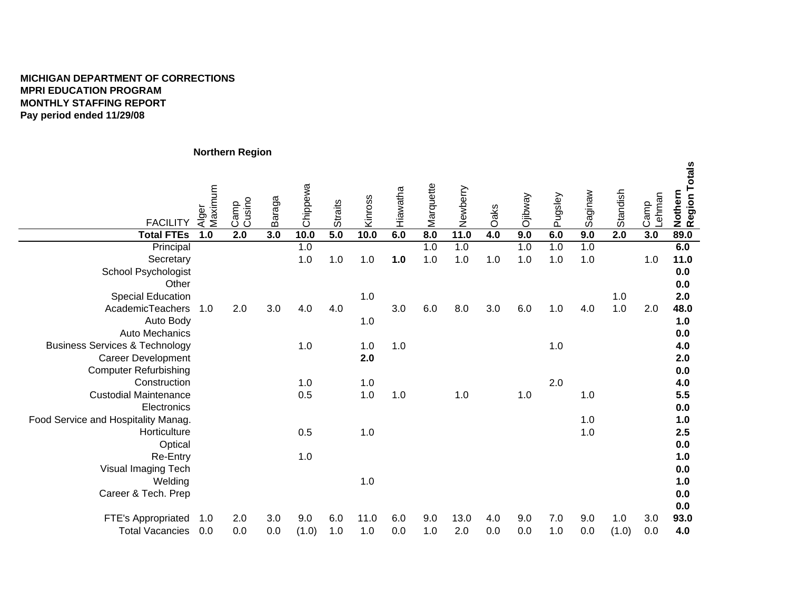### **MICHIGAN DEPARTMENT OF CORRECTIONSMPRI EDUCATION PROGRAM MONTHLY STAFFING REPORTPay period ended 11/29/08**

|                                           |                  | normenn izegion  |        |          |                |         |          |           |          |       |                |         |         |          |                |                          |
|-------------------------------------------|------------------|------------------|--------|----------|----------------|---------|----------|-----------|----------|-------|----------------|---------|---------|----------|----------------|--------------------------|
| <b>FACILITY</b>                           | Alger<br>Maximum | Camp<br>Cusino   | Baraga | Chippewa | <b>Straits</b> | Kinross | Hiawatha | Marquette | Newberry | Oaks  | <b>Ojibway</b> | Pugsley | Saginaw | Standish | Lehman<br>Camp | Nothern<br>Region Totals |
| <b>Total FTEs</b>                         | 1.0              | $\overline{2.0}$ | 3.0    | 10.0     | 5.0            | 10.0    | 6.0      | 8.0       | 11.0     | 4.0   | 9.0            | 6.0     | 9.0     | 2.0      | 3.0            | 89.0                     |
| Principal                                 |                  |                  |        | 1.0      |                |         |          | 1.0       | 1.0      |       | 1.0            | 1.0     | 1.0     |          |                | 6.0                      |
| Secretary                                 |                  |                  |        | $1.0$    | $1.0$          | $1.0$   | 1.0      | 1.0       | $1.0$    | $1.0$ | 1.0            | 1.0     | 1.0     |          | 1.0            | 11.0                     |
| <b>School Psychologist</b>                |                  |                  |        |          |                |         |          |           |          |       |                |         |         |          |                | 0.0                      |
| Other                                     |                  |                  |        |          |                |         |          |           |          |       |                |         |         |          |                | 0.0                      |
| <b>Special Education</b>                  |                  |                  |        |          |                | 1.0     |          |           |          |       |                |         |         | $1.0$    |                | 2.0                      |
| AcademicTeachers                          | 1.0              | 2.0              | 3.0    | 4.0      | 4.0            |         | 3.0      | 6.0       | 8.0      | 3.0   | 6.0            | 1.0     | 4.0     | $1.0$    | 2.0            | 48.0                     |
| Auto Body                                 |                  |                  |        |          |                | 1.0     |          |           |          |       |                |         |         |          |                | 1.0                      |
| Auto Mechanics                            |                  |                  |        |          |                |         |          |           |          |       |                |         |         |          |                | 0.0                      |
| <b>Business Services &amp; Technology</b> |                  |                  |        | 1.0      |                | $1.0$   | 1.0      |           |          |       |                | 1.0     |         |          |                | 4.0                      |
| <b>Career Development</b>                 |                  |                  |        |          |                | 2.0     |          |           |          |       |                |         |         |          |                | 2.0                      |
| <b>Computer Refurbishing</b>              |                  |                  |        |          |                |         |          |           |          |       |                |         |         |          |                | 0.0                      |
| Construction                              |                  |                  |        | 1.0      |                | $1.0$   |          |           |          |       |                | 2.0     |         |          |                | 4.0                      |
| <b>Custodial Maintenance</b>              |                  |                  |        | 0.5      |                | 1.0     | 1.0      |           | 1.0      |       | 1.0            |         | 1.0     |          |                | 5.5                      |
| Electronics                               |                  |                  |        |          |                |         |          |           |          |       |                |         |         |          |                | 0.0                      |
| Food Service and Hospitality Manag.       |                  |                  |        |          |                |         |          |           |          |       |                |         | 1.0     |          |                | 1.0                      |
| Horticulture                              |                  |                  |        | 0.5      |                | $1.0$   |          |           |          |       |                |         | 1.0     |          |                | 2.5                      |
| Optical                                   |                  |                  |        |          |                |         |          |           |          |       |                |         |         |          |                | 0.0                      |
| Re-Entry                                  |                  |                  |        | 1.0      |                |         |          |           |          |       |                |         |         |          |                | 1.0                      |
| Visual Imaging Tech                       |                  |                  |        |          |                |         |          |           |          |       |                |         |         |          |                | 0.0                      |
| Welding                                   |                  |                  |        |          |                | 1.0     |          |           |          |       |                |         |         |          |                | 1.0                      |
| Career & Tech. Prep                       |                  |                  |        |          |                |         |          |           |          |       |                |         |         |          |                | 0.0                      |
|                                           |                  |                  |        |          |                |         |          |           |          |       |                |         |         |          |                | 0.0                      |
| FTE's Appropriated                        | 1.0              | 2.0              | 3.0    | 9.0      | 6.0            | 11.0    | 6.0      | 9.0       | 13.0     | 4.0   | 9.0            | 7.0     | 9.0     | 1.0      | 3.0            | 93.0                     |
| <b>Total Vacancies</b>                    | 0.0              | 0.0              | 0.0    | (1.0)    | 1.0            | 1.0     | 0.0      | 1.0       | 2.0      | 0.0   | 0.0            | 1.0     | 0.0     | (1.0)    | 0.0            | 4.0                      |

**Northern Region**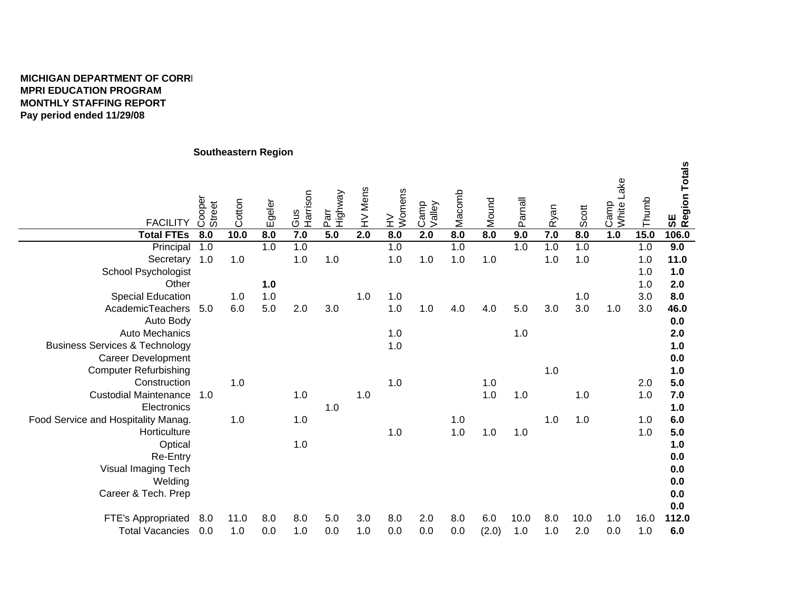## **MICHIGAN DEPARTMENT OF CORREMPRI EDUCATION PROGRAM MONTHLY STAFFING REPORTPay period ended 11/29/08**

## **Southeastern Region**

| <b>FACILITY</b>                           | Cooper<br>Street | Cotton | Egeler | Harrison<br>Gus | Highway<br>Parr | HV Mens | HV<br>Womens | Camp<br>Valley | Macomb | Mound | Parnall | Ryan | Scott | Camp<br>White Lake | Thumb | SE<br> Region Totals |
|-------------------------------------------|------------------|--------|--------|-----------------|-----------------|---------|--------------|----------------|--------|-------|---------|------|-------|--------------------|-------|----------------------|
| <b>Total FTEs</b>                         | 8.0              | 10.0   | 8.0    | 7.0             | 5.0             | 2.0     | 8.0          | 2.0            | 8.0    | 8.0   | 9.0     | 7.0  | 8.0   | 1.0                | 15.0  | 106.0                |
| Principal                                 | 1.0              |        | 1.0    | 1.0             |                 |         | 1.0          |                | 1.0    |       | 1.0     | 1.0  | 1.0   |                    | 1.0   | 9.0                  |
| Secretary                                 | 1.0              | 1.0    |        | 1.0             | 1.0             |         | $1.0$        | 1.0            | 1.0    | 1.0   |         | 1.0  | 1.0   |                    | 1.0   | 11.0                 |
| School Psychologist                       |                  |        |        |                 |                 |         |              |                |        |       |         |      |       |                    | 1.0   | 1.0                  |
| Other                                     |                  |        | 1.0    |                 |                 |         |              |                |        |       |         |      |       |                    | 1.0   | 2.0                  |
| <b>Special Education</b>                  |                  | 1.0    | 1.0    |                 |                 | 1.0     | 1.0          |                |        |       |         |      | 1.0   |                    | 3.0   | 8.0                  |
| AcademicTeachers                          | 5.0              | 6.0    | 5.0    | 2.0             | 3.0             |         | $1.0$        | 1.0            | 4.0    | 4.0   | 5.0     | 3.0  | 3.0   | 1.0                | 3.0   | 46.0                 |
| Auto Body                                 |                  |        |        |                 |                 |         |              |                |        |       |         |      |       |                    |       | 0.0                  |
| <b>Auto Mechanics</b>                     |                  |        |        |                 |                 |         | 1.0          |                |        |       | 1.0     |      |       |                    |       | 2.0                  |
| <b>Business Services &amp; Technology</b> |                  |        |        |                 |                 |         | 1.0          |                |        |       |         |      |       |                    |       | 1.0                  |
| <b>Career Development</b>                 |                  |        |        |                 |                 |         |              |                |        |       |         |      |       |                    |       | 0.0                  |
| <b>Computer Refurbishing</b>              |                  |        |        |                 |                 |         |              |                |        |       |         | 1.0  |       |                    |       | 1.0                  |
| Construction                              |                  | 1.0    |        |                 |                 |         | 1.0          |                |        | 1.0   |         |      |       |                    | 2.0   | 5.0                  |
| <b>Custodial Maintenance</b>              | 1.0              |        |        | 1.0             |                 | 1.0     |              |                |        | 1.0   | 1.0     |      | 1.0   |                    | 1.0   | 7.0                  |
| Electronics                               |                  |        |        |                 | 1.0             |         |              |                |        |       |         |      |       |                    |       | 1.0                  |
| Food Service and Hospitality Manag.       |                  | 1.0    |        | 1.0             |                 |         |              |                | 1.0    |       |         | 1.0  | 1.0   |                    | 1.0   | 6.0                  |
| Horticulture                              |                  |        |        |                 |                 |         | 1.0          |                | 1.0    | 1.0   | 1.0     |      |       |                    | 1.0   | 5.0                  |
| Optical                                   |                  |        |        | 1.0             |                 |         |              |                |        |       |         |      |       |                    |       | 1.0                  |
| Re-Entry                                  |                  |        |        |                 |                 |         |              |                |        |       |         |      |       |                    |       | 0.0                  |
| Visual Imaging Tech                       |                  |        |        |                 |                 |         |              |                |        |       |         |      |       |                    |       | 0.0                  |
| Welding                                   |                  |        |        |                 |                 |         |              |                |        |       |         |      |       |                    |       | 0.0                  |
| Career & Tech. Prep                       |                  |        |        |                 |                 |         |              |                |        |       |         |      |       |                    |       | 0.0                  |
|                                           |                  |        |        |                 |                 |         |              |                |        |       |         |      |       |                    |       | 0.0                  |
| FTE's Appropriated                        | 8.0              | 11.0   | 8.0    | 8.0             | 5.0             | 3.0     | 8.0          | 2.0            | 8.0    | 6.0   | 10.0    | 8.0  | 10.0  | 1.0                | 16.0  | 112.0                |
| <b>Total Vacancies</b>                    | 0.0              | 1.0    | 0.0    | 1.0             | 0.0             | 1.0     | 0.0          | 0.0            | 0.0    | (2.0) | 1.0     | 1.0  | 2.0   | 0.0                | 1.0   | 6.0                  |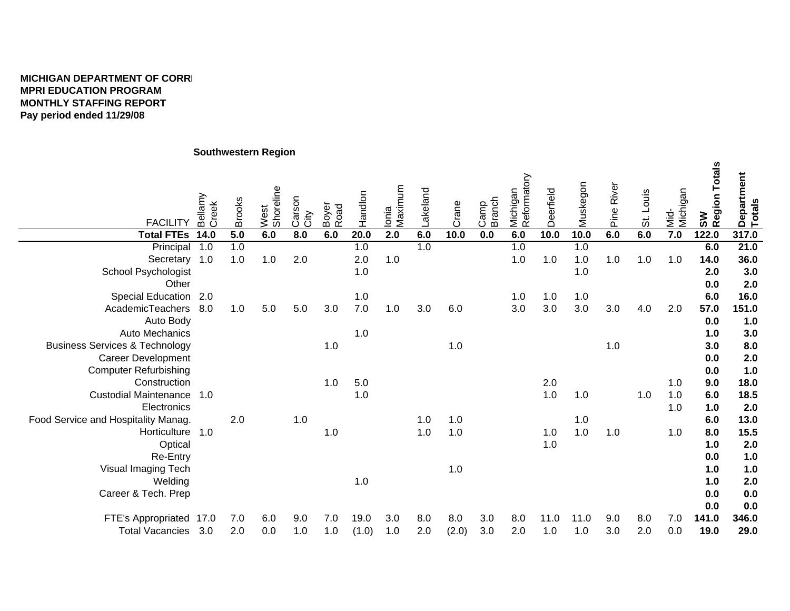## **MICHIGAN DEPARTMENT OF CORREMPRI EDUCATION PROGRAM MONTHLY STAFFING REPORT Pay period ended 11/29/08**

## **Southwestern Region**

| <b>FACILITY</b>                           | Bellamy<br>Creek | <b>Brooks</b>    | West<br>Shoreline | Carson<br>City   | Boyer<br>Road | Handlon | Ionia<br>Maximum | Lakeland | Crane | <b>Branch</b><br>Camp | Michigan<br>Reformatory | Deerfield | Muskegon | Pine River | St. Louis | Mid-<br>Michigan | SW<br> Region Totals | Department<br>Totals |
|-------------------------------------------|------------------|------------------|-------------------|------------------|---------------|---------|------------------|----------|-------|-----------------------|-------------------------|-----------|----------|------------|-----------|------------------|----------------------|----------------------|
| <b>Total FTEs</b>                         | 14.0             | $\overline{5.0}$ | 6.0               | $\overline{8.0}$ | 6.0           | 20.0    | 2.0              | 6.0      | 10.0  | 0.0                   | 6.0                     | 10.0      | 10.0     | 6.0        | 6.0       | 7.0              | 122.0                | 317.0                |
| Principal                                 | 1.0              | 1.0              |                   |                  |               | 1.0     |                  | 1.0      |       |                       | 1.0                     |           | 1.0      |            |           |                  | 6.0                  | 21.0                 |
| Secretary 1.0                             |                  | 1.0              | 1.0               | 2.0              |               | 2.0     | 1.0              |          |       |                       | 1.0                     | 1.0       | 1.0      | 1.0        | 1.0       | 1.0              | 14.0                 | 36.0                 |
| <b>School Psychologist</b>                |                  |                  |                   |                  |               | 1.0     |                  |          |       |                       |                         |           | 1.0      |            |           |                  | 2.0                  | 3.0                  |
| Other                                     |                  |                  |                   |                  |               |         |                  |          |       |                       |                         |           |          |            |           |                  | 0.0                  | 2.0                  |
| Special Education 2.0                     |                  |                  |                   |                  |               | 1.0     |                  |          |       |                       | 1.0                     | 1.0       | 1.0      |            |           |                  | 6.0                  | 16.0                 |
| AcademicTeachers 8.0                      |                  | 1.0              | 5.0               | 5.0              | 3.0           | $7.0\,$ | 1.0              | 3.0      | 6.0   |                       | 3.0                     | 3.0       | 3.0      | 3.0        | 4.0       | 2.0              | 57.0                 | 151.0                |
| Auto Body                                 |                  |                  |                   |                  |               |         |                  |          |       |                       |                         |           |          |            |           |                  | 0.0                  | 1.0                  |
| Auto Mechanics                            |                  |                  |                   |                  |               | 1.0     |                  |          |       |                       |                         |           |          |            |           |                  | 1.0                  | 3.0                  |
| <b>Business Services &amp; Technology</b> |                  |                  |                   |                  | 1.0           |         |                  |          | 1.0   |                       |                         |           |          | 1.0        |           |                  | 3.0                  | 8.0                  |
| <b>Career Development</b>                 |                  |                  |                   |                  |               |         |                  |          |       |                       |                         |           |          |            |           |                  | 0.0                  | 2.0                  |
| <b>Computer Refurbishing</b>              |                  |                  |                   |                  |               |         |                  |          |       |                       |                         |           |          |            |           |                  | 0.0                  | 1.0                  |
| Construction                              |                  |                  |                   |                  | 1.0           | $5.0\,$ |                  |          |       |                       |                         | 2.0       |          |            |           | 1.0              | 9.0                  | 18.0                 |
| Custodial Maintenance 1.0                 |                  |                  |                   |                  |               | 1.0     |                  |          |       |                       |                         | 1.0       | 1.0      |            | 1.0       | 1.0              | 6.0                  | 18.5                 |
| Electronics                               |                  |                  |                   |                  |               |         |                  |          |       |                       |                         |           |          |            |           | 1.0              | 1.0                  | 2.0                  |
| Food Service and Hospitality Manag.       |                  | 2.0              |                   | 1.0              |               |         |                  | 1.0      | 1.0   |                       |                         |           | 1.0      |            |           |                  | 6.0                  | 13.0                 |
| Horticulture 1.0                          |                  |                  |                   |                  | 1.0           |         |                  | 1.0      | 1.0   |                       |                         | 1.0       | 1.0      | 1.0        |           | 1.0              | 8.0                  | 15.5                 |
| Optical                                   |                  |                  |                   |                  |               |         |                  |          |       |                       |                         | 1.0       |          |            |           |                  | 1.0                  | 2.0                  |
| Re-Entry                                  |                  |                  |                   |                  |               |         |                  |          |       |                       |                         |           |          |            |           |                  | 0.0                  | 1.0                  |
| Visual Imaging Tech                       |                  |                  |                   |                  |               |         |                  |          | $1.0$ |                       |                         |           |          |            |           |                  | 1.0                  | 1.0                  |
| Welding                                   |                  |                  |                   |                  |               | 1.0     |                  |          |       |                       |                         |           |          |            |           |                  | 1.0                  | 2.0                  |
| Career & Tech. Prep                       |                  |                  |                   |                  |               |         |                  |          |       |                       |                         |           |          |            |           |                  | 0.0                  | 0.0                  |
|                                           |                  |                  |                   |                  |               |         |                  |          |       |                       |                         |           |          |            |           |                  | 0.0                  | 0.0                  |
| FTE's Appropriated                        | 17.0             | 7.0              | 6.0               | 9.0              | 7.0           | 19.0    | 3.0              | 8.0      | 8.0   | 3.0                   | 8.0                     | 11.0      | 11.0     | 9.0        | 8.0       | 7.0              | 141.0                | 346.0                |
| <b>Total Vacancies</b>                    | 3.0              | 2.0              | 0.0               | 1.0              | 1.0           | (1.0)   | 1.0              | 2.0      | (2.0) | 3.0                   | 2.0                     | 1.0       | 1.0      | 3.0        | 2.0       | 0.0              | 19.0                 | 29.0                 |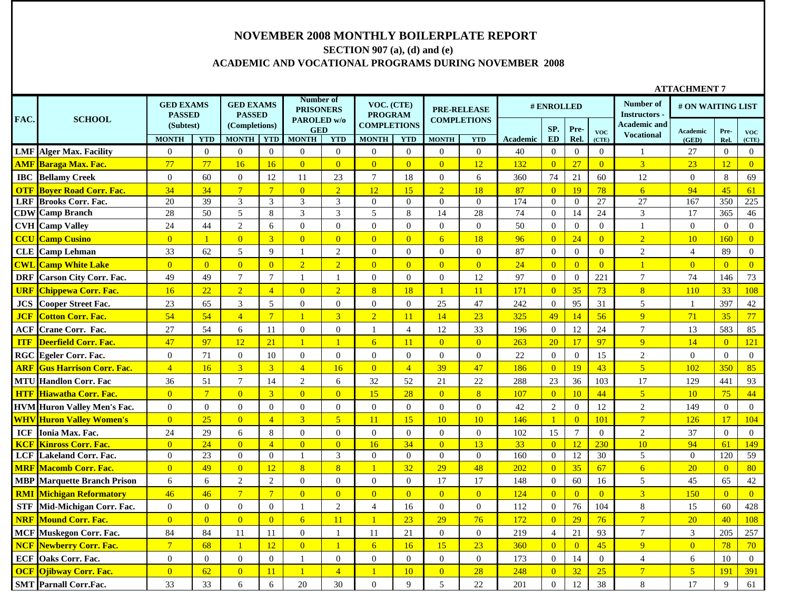#### **NOVEMBER 2008 MONTHLY BOILERPLATE REPORT**

# **SECTION 907 (a), (d) and (e) ACADEMIC AND VOCATIONAL PROGRAMS DURING NOVEMBER 2008**

|            |                                    |                                   |                 |                                   |                  |                                              |                  |                              |                |                    |                    |                 |                |                  |                  |                                          | <b>ATTACHMENT 7</b> |                |                  |
|------------|------------------------------------|-----------------------------------|-----------------|-----------------------------------|------------------|----------------------------------------------|------------------|------------------------------|----------------|--------------------|--------------------|-----------------|----------------|------------------|------------------|------------------------------------------|---------------------|----------------|------------------|
| FAC.       | <b>SCHOOL</b>                      | <b>GED EXAMS</b><br><b>PASSED</b> |                 | <b>GED EXAMS</b><br><b>PASSED</b> |                  | Number of<br><b>PRISONERS</b><br>PAROLED w/o |                  | VOC. (CTE)<br><b>PROGRAM</b> |                | <b>PRE-RELEASE</b> | <b>COMPLETIONS</b> |                 | # ENROLLED     |                  |                  | Number of<br><b>Instructors</b>          | # ON WAITING LIST   |                |                  |
|            |                                    | (Subtest)                         |                 | (Completions)                     |                  | <b>GED</b>                                   |                  | <b>COMPLETIONS</b>           |                |                    |                    |                 | SP.            | Pre-             | <b>VOC</b>       | <b>Academic and</b><br><b>Vocational</b> | <b>Academic</b>     | Pre-           | <b>VOC</b>       |
|            |                                    | <b>MONTH</b>                      | <b>YTD</b>      | <b>MONTH</b>                      | <b>YTD</b>       | <b>MONTH</b>                                 | <b>YTD</b>       | <b>MONTH</b>                 | <b>YTD</b>     | <b>MONTH</b>       | <b>YTD</b>         | <b>Academic</b> | <b>ED</b>      | Rel.             | (CTE)            |                                          | (GED)               | Rel.           | (CTE)            |
|            | <b>LMF</b> Alger Max. Facility     | $\overline{0}$                    | $\overline{0}$  | $\overline{0}$                    | $\mathbf{0}$     | $\overline{0}$                               | $\mathbf{0}$     | $\overline{0}$               | $\overline{0}$ | $\overline{0}$     | $\overline{0}$     | 40              | $\overline{0}$ | $\overline{0}$   | $\overline{0}$   | -1                                       | 27                  | $\overline{0}$ | $\mathbf{0}$     |
|            | <b>AMF Baraga Max. Fac.</b>        | 77                                | 77              | 16                                | 16               | $\overline{0}$                               | $\overline{0}$   | $\overline{0}$               | $\overline{0}$ | $\overline{0}$     | 12                 | 132             | $\overline{0}$ | 27               | $\overline{0}$   | 3 <sup>1</sup>                           | 23                  | 12             | $\overline{0}$   |
|            | <b>IBC</b> Bellamy Creek           | $\theta$                          | 60              | $\mathbf{0}$                      | 12               | 11                                           | 23               | $\tau$                       | 18             | $\overline{0}$     | 6                  | 360             | 74             | 21               | 60               | 12                                       | $\overline{0}$      | 8              | 69               |
| <b>OTF</b> | <b>Bover Road Corr. Fac.</b>       | 34                                | 34              | $7\phantom{.0}$                   | $7\phantom{.0}$  | $\overline{0}$                               | $\overline{2}$   | 12                           | 15             | $\overline{2}$     | 18                 | 87              | $\overline{0}$ | 19               | 78               | 6                                        | 94                  | 45             | 61               |
| <b>LRF</b> | <b>Brooks Corr. Fac.</b>           | 20                                | 39              | 3                                 | 3                | 3                                            | 3                | $\overline{0}$               | $\overline{0}$ | $\overline{0}$     | $\mathbf{0}$       | 174             | $\overline{0}$ | $\mathbf{0}$     | $\overline{27}$  | 27                                       | 167                 | 350            | 225              |
|            | <b>CDW</b> Camp Branch             | 28                                | 50              | 5                                 | 8                | 3                                            | 3                | 5                            | 8              | 14                 | 28                 | 74              | $\overline{0}$ | 14               | 24               | 3                                        | 17                  | 365            | 46               |
|            | <b>CVH</b> Camp Valley             | 24                                | 44              | $\sqrt{2}$                        | 6                | $\boldsymbol{0}$                             | $\mathbf{0}$     | $\overline{0}$               | $\mathbf{0}$   | $\overline{0}$     | $\boldsymbol{0}$   | 50              | $\overline{0}$ | $\mathbf{0}$     | $\overline{0}$   | $\mathbf{1}$                             | $\Omega$            | $\overline{0}$ | $\mathbf{0}$     |
|            | <b>CCU</b> Camp Cusino             | $\overline{0}$                    | $\overline{1}$  | $\overline{0}$                    | $\overline{3}$   | $\overline{0}$                               | $\overline{0}$   | $\overline{0}$               | $\overline{0}$ | 6                  | 18                 | 96              | $\overline{0}$ | 24               | $\overline{0}$   | $\overline{2}$                           | 10                  | 160            | $\overline{0}$   |
|            | <b>CLE</b> Camp Lehman             | 33                                | 62              | 5                                 | 9                | -1                                           | $\overline{2}$   | $\overline{0}$               | $\mathbf{0}$   | $\overline{0}$     | $\overline{0}$     | 87              | $\overline{0}$ | $\mathbf{0}$     | $\boldsymbol{0}$ | $\overline{2}$                           | $\overline{4}$      | 89             | $\mathbf{0}$     |
|            | <b>CWL Camp White Lake</b>         | $\overline{0}$                    | $\overline{0}$  | $\overline{0}$                    | $\overline{0}$   | $\overline{2}$                               | $\overline{2}$   | $\overline{0}$               | $\overline{0}$ | $\overline{0}$     | $\overline{0}$     | 24              | $\overline{0}$ | $\overline{0}$   | $\overline{0}$   | $\overline{1}$                           | $\overline{0}$      | $\overline{0}$ | $\overline{0}$   |
| <b>DRF</b> | <b>Carson City Corr. Fac.</b>      | 49                                | 49              | $\overline{7}$                    | $\overline{7}$   | $\overline{1}$                               | -1               | $\Omega$                     | $\Omega$       | $\overline{0}$     | 12                 | 97              | $\overline{0}$ | $\overline{0}$   | 221              | $\overline{7}$                           | $74\,$              | 146            | 73               |
| <b>URF</b> | <b>Chippewa Corr. Fac.</b>         | 16                                | 22              | $\overline{2}$                    | $\overline{4}$   | $\overline{0}$                               | $\overline{2}$   | 8 <sup>°</sup>               | 18             | $\mathbf{1}$       | 11                 | 171             | $\overline{0}$ | 35               | 73               | 8                                        | 110                 | 33             | 108              |
| JCS        | <b>Cooper Street Fac.</b>          | 23                                | 65              | 3                                 | 5                | $\mathbf{0}$                                 | $\mathbf{0}$     | $\overline{0}$               | $\overline{0}$ | 25                 | 47                 | 242             | $\overline{0}$ | 95               | 31               | 5                                        | 1                   | 397            | 42               |
| <b>JCF</b> | <b>Cotton Corr. Fac.</b>           | 54                                | 54              | $\overline{4}$                    | $\overline{7}$   |                                              | 3                | $\overline{2}$               | 11             | 14                 | 23                 | 325             | 49             | 14               | 56               | $\overline{Q}$                           | 71                  | 35             | 77               |
|            | <b>ACF</b> Crane Corr. Fac.        | 27                                | 54              | 6                                 | 11               | $\mathbf{0}$                                 | $\overline{0}$   | -1                           | $\overline{4}$ | 12                 | 33                 | 196             | $\overline{0}$ | 12               | 24               | $\tau$                                   | 13                  | 583            | 85               |
| <b>ITF</b> | Deerfield Corr. Fac.               | 47                                | 97              | 12                                | 21               | $\mathbf{1}$                                 | $\mathbf{1}$     | $6 \overline{6}$             | 11             | $\overline{0}$     | $\overline{0}$     | 263             | <b>20</b>      | 17               | 97               | $\overline{q}$                           | 14                  | $\overline{0}$ | 121              |
|            | <b>RGC</b> Egeler Corr. Fac.       | $\overline{0}$                    | 71              | $\mathbf{0}$                      | 10               | $\mathbf{0}$                                 | $\mathbf{0}$     | $\overline{0}$               | $\overline{0}$ | $\overline{0}$     | $\mathbf{0}$       | 22              | $\overline{0}$ | $\overline{0}$   | 15               | $\overline{2}$                           | $\overline{0}$      | $\overline{0}$ | $\overline{0}$   |
|            | <b>ARF Gus Harrison Corr. Fac.</b> | $\overline{4}$                    | 16              | $\overline{3}$                    | $\overline{3}$   | $\overline{4}$                               | 16               | $\overline{0}$               | $\overline{4}$ | 39                 | 47                 | 186             | $\overline{0}$ | 19               | 43               | 5 <sup>1</sup>                           | 102                 | 350            | 85               |
|            | <b>MTU Handlon Corr. Fac</b>       | 36                                | 51              | $\tau$                            | 14               | 2                                            | 6                | 32                           | 52             | 21                 | 22                 | 288             | 23             | 36               | 103              | 17                                       | 129                 | 441            | 93               |
|            | <b>HTF Hiawatha Corr. Fac.</b>     | $\overline{0}$                    | $7\overline{ }$ | $\overline{0}$                    | $\overline{3}$   | $\overline{0}$                               | $\overline{0}$   | 15                           | 28             | $\overline{0}$     | 8 <sup>2</sup>     | 107             | $\overline{0}$ | 10               | 44               | 5 <sup>5</sup>                           | 10                  | 75             | 44               |
|            | <b>HVM Huron Valley Men's Fac.</b> | $\boldsymbol{0}$                  | $\mathbf{0}$    | $\boldsymbol{0}$                  | $\boldsymbol{0}$ | $\boldsymbol{0}$                             | $\boldsymbol{0}$ | $\mathbf{0}$                 | $\mathbf{0}$   | $\boldsymbol{0}$   | $\boldsymbol{0}$   | $42\,$          | $\sqrt{2}$     | $\boldsymbol{0}$ | 12               | $\overline{2}$                           | 149                 | $\mathbf{0}$   | $\mathbf{0}$     |
|            | <b>WHV Huron Valley Women's</b>    | $\overline{0}$                    | 25              | $\overline{0}$                    | $\overline{4}$   | $\overline{3}$                               | 5 <sup>5</sup>   | <sup>11</sup>                | 15             | 10                 | 10                 | 146             |                | $\overline{0}$   | 101              | $\overline{7}$                           | 126                 | 17             | 104              |
| <b>ICF</b> | Ionia Max. Fac.                    | 24                                | 29              | 6                                 | 8                | $\boldsymbol{0}$                             | $\mathbf{0}$     | $\overline{0}$               | $\mathbf{0}$   | $\boldsymbol{0}$   | $\boldsymbol{0}$   | 102             | 15             | $\tau$           | $\mathbf{0}$     | $\overline{2}$                           | 37                  | $\overline{0}$ | $\boldsymbol{0}$ |
| <b>KCF</b> | <b>Kinross Corr. Fac.</b>          | $\overline{0}$                    | 24              | $\overline{0}$                    | $\overline{4}$   | $\overline{0}$                               | $\overline{0}$   | 16                           | 34             | $\overline{0}$     | 13                 | 33              | $\overline{0}$ | 12               | 230              | 10                                       | 94                  | 61             | 149              |
|            | <b>LCF</b> Lakeland Corr. Fac.     | $\theta$                          | 23              | $\overline{0}$                    | $\overline{0}$   | -1                                           | 3                | $\overline{0}$               | $\overline{0}$ | $\overline{0}$     | $\overline{0}$     | 160             | $\overline{0}$ | 12               | 30               | 5                                        | $\Omega$            | 120            | 59               |
|            | <b>MRF Macomb Corr. Fac.</b>       | $\overline{0}$                    | 49              | $\overline{0}$                    | 12               | 8                                            | 8                |                              | 32             | 29                 | 48                 | 202             | $\overline{0}$ | 35               | 67               | 6                                        | 20                  | $\overline{0}$ | 80               |
|            | <b>MBP</b> Marquette Branch Prison | 6                                 | 6               | $\sqrt{2}$                        | $\overline{2}$   | $\mathbf{0}$                                 | $\overline{0}$   | $\overline{0}$               | $\mathbf{0}$   | 17                 | 17                 | 148             | $\mathbf{0}$   | 60               | 16               | 5                                        | 45                  | 65             | 42               |
|            | <b>RMI Michigan Reformatory</b>    | 46                                | 46              | $\overline{7}$                    | $7\overline{ }$  | $\overline{0}$                               | $\overline{0}$   | $\overline{0}$               | $\overline{0}$ | $\overline{0}$     | $\overline{0}$     | 124             | $\overline{0}$ | $\overline{0}$   | $\overline{0}$   | $\overline{3}$                           | 150                 | $\overline{0}$ | $\overline{0}$   |
| <b>STF</b> | Mid-Michigan Corr. Fac.            | $\overline{0}$                    | $\overline{0}$  | $\mathbf{0}$                      | $\overline{0}$   | $\mathbf{1}$                                 | $\mathbf{2}$     | $\overline{4}$               | 16             | $\mathbf{0}$       | $\boldsymbol{0}$   | 112             | $\overline{0}$ | 76               | 104              | 8                                        | 15                  | 60             | 428              |
| <b>NRF</b> | <b>Mound Corr. Fac.</b>            | $\overline{0}$                    | $\overline{0}$  | $\overline{0}$                    | $\overline{0}$   | $6\overline{6}$                              | 11               | $\overline{1}$               | 23             | 29                 | 76                 | 172             | $\overline{0}$ | 29               | 76               | $\overline{7}$                           | 20                  | 40             | 108              |
|            | <b>MCF Muskegon Corr. Fac.</b>     | 84                                | 84              | 11                                | 11               | $\boldsymbol{0}$                             | $\mathbf{1}$     | 11                           | 21             | $\boldsymbol{0}$   | $\boldsymbol{0}$   | 219             | $\overline{4}$ | 21               | 93               | $\tau$                                   | $\mathfrak{Z}$      | 205            | 257              |
| <b>NCF</b> | <b>Newberry Corr. Fac.</b>         | $7\phantom{.0}$                   | 68              | $\mathbf{1}$                      | 12               | $\overline{0}$                               | $\overline{1}$   | 6 <sup>1</sup>               | 16             | 15                 | 23                 | 360             | $\overline{0}$ | $\overline{0}$   | 45               | $\overline{9}$                           | $\overline{0}$      | 78             | 70               |
| <b>ECF</b> | Oaks Corr. Fac.                    | $\overline{0}$                    | $\overline{0}$  | $\boldsymbol{0}$                  | $\overline{0}$   |                                              | $\mathbf{0}$     | $\overline{0}$               | $\overline{0}$ | $\overline{0}$     | $\boldsymbol{0}$   | 173             | $\overline{0}$ | 14               | $\overline{0}$   | $\overline{4}$                           | 6                   | 10             | $\mathbf{0}$     |
| <b>OCF</b> | <b>Ojibway Corr. Fac.</b>          | $\overline{0}$                    | 62              | $\overline{0}$                    | 11               |                                              | $\overline{4}$   |                              | 10             | $\overline{0}$     | 28                 | 248             | $\overline{0}$ | 32               | 25               | $\overline{7}$                           | $\overline{5}$      | 191            | 391              |
|            | <b>SMT</b> Parnall Corr.Fac.       | 33                                | 33              | 6                                 | 6                | 20                                           | 30               | $\Omega$                     | 9              | 5                  | 22                 | 201             | $\Omega$       | 12               | 38               | 8                                        | 17                  | 9              | 61               |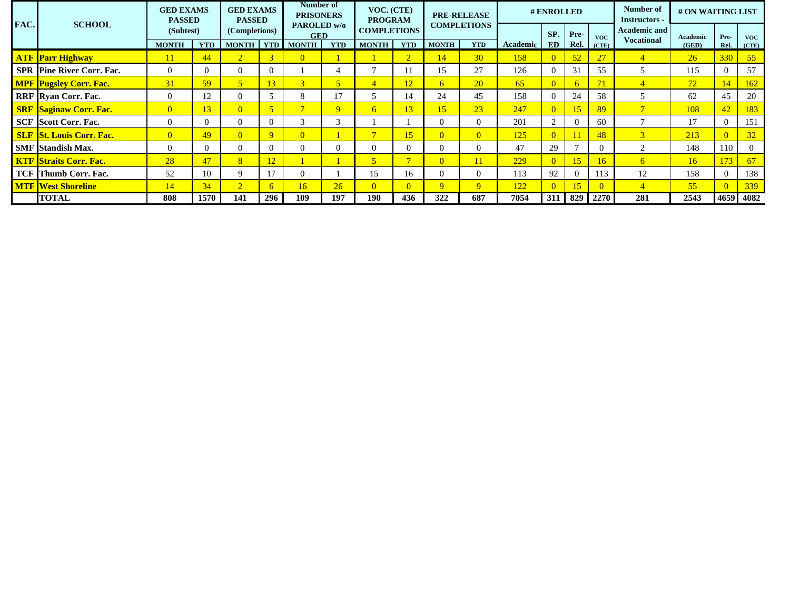|      |                                  | <b>GED EXAMS</b><br><b>PASSED</b> |            | <b>GED EXAMS</b><br><b>PASSED</b> |              | Number of<br><b>PRISONERS</b> |                | VOC. (CTE)<br><b>PROGRAM</b> |                          |                | <b>PRE-RELEASE</b> |          | # ENROLLED |                |            | Number of<br><b>Instructors -</b>        | # ON WAITING LIST |      |            |
|------|----------------------------------|-----------------------------------|------------|-----------------------------------|--------------|-------------------------------|----------------|------------------------------|--------------------------|----------------|--------------------|----------|------------|----------------|------------|------------------------------------------|-------------------|------|------------|
| FAC. | <b>SCHOOL</b>                    | (Subtest)                         |            | (Completions)                     |              | PAROLED w/o<br><b>GED</b>     |                | <b>COMPLETIONS</b>           |                          |                | <b>COMPLETIONS</b> |          | SP.        | Pre-           | <b>VOC</b> | <b>Academic and</b><br><b>Vocational</b> | Academic          | Pre- | <b>VOC</b> |
|      |                                  | <b>MONTH</b>                      | <b>YTD</b> | <b>MONTH</b>                      | <b>YTD</b>   | <b>MONTH</b>                  | <b>YTD</b>     | <b>MONTH</b>                 | <b>YTD</b>               | <b>MONTH</b>   | <b>YTD</b>         | Academic | ED         | Rel.           | (CTE)      |                                          | (GED)             | Rel. | (CTE)      |
|      | <b>ATF Parr Highway</b>          | 11                                | 44         | $\overline{2}$                    |              | $\overline{0}$                |                |                              | 2                        | 14             | 30                 | 158      |            | 52             | 27         |                                          | 26                | 330  | 55         |
|      | <b>SPR Pine River Corr. Fac.</b> | $\Omega$                          |            | $\Omega$                          |              |                               |                |                              |                          | 15             | 27                 | 126      |            | 31             | 55         |                                          | 115               |      | 57         |
|      | <b>MPF</b> Pugsley Corr. Fac.    | 31                                | 59         | $\sqrt{5}$                        | 13           | $\sqrt{2}$                    | $\overline{5}$ | $\overline{4}$               | 12                       | 6              | <b>20</b>          | 65       |            | 6.             | 71         |                                          | 72                | 14   | 162        |
|      | <b>RRF</b> Ryan Corr. Fac.       | $\Omega$                          | 12         | $\Omega$                          |              |                               | 17             |                              | 14                       | 24             | 45                 | 158      |            | 24             | 58         |                                          | 62                |      | 20         |
|      | <b>SRF Saginaw Corr. Fac.</b>    | $\overline{0}$                    | 13         | $\overline{0}$                    |              |                               | 9              | 6                            | 13                       | 15             | 23                 | 247      |            | 15             | 89         |                                          | 108               | 42   | 183        |
|      | <b>SCF</b> Scott Corr. Fac.      | $\Omega$                          |            | $\Omega$                          |              | $\sim$                        | 3              |                              |                          | $\Omega$       | $\Omega$           | 201      |            | $\Omega$       | 60         | $\overline{ }$                           | 17                |      | 151        |
|      | <b>SLF St. Louis Corr. Fac.</b>  | $\overline{0}$                    | 49         | $\overline{0}$                    | $\mathbf{Q}$ | $\overline{0}$                |                | $\mathbf{r}$                 | 15                       | $\overline{0}$ | $\overline{0}$     | 125      |            |                | 48         | 3                                        | 213               |      | 32         |
|      | <b>SMF</b> Standish Max.         | $\Omega$                          |            | $\Omega$                          | 0            |                               | $\Omega$       | 0                            |                          | $\Omega$       | $\Omega$           | 47       | 29         |                |            | $\gamma$                                 | 148               | 110  |            |
|      | <b>KTF Straits Corr. Fac.</b>    | 28                                | 47         | 8 <sup>°</sup>                    |              |                               |                | 5 <sup>1</sup>               | $\overline{\phantom{0}}$ | $\overline{0}$ | 11                 | 229      |            | 15             | 16         | 6                                        | 16                | 173  | 67         |
|      | <b>TCF</b> Thumb Corr. Fac.      | 52                                | 10         | $\mathbf Q$                       | 17           |                               |                | 15                           | 16                       | $\Omega$       | $\Omega$           | 113      | 92         | $\Omega$       | 113        | 12                                       | 158               |      | 138        |
|      | <b>MTF West Shoreline</b>        | 14                                | 34         | $\overline{2}$                    | h            | 16                            | 26             | $\overline{0}$               | $\Omega$                 | $\mathbf{Q}$   | 9                  | 122      |            | 15             |            |                                          | 55                |      | 339        |
|      | <b>TOTAL</b>                     | 808                               | 1570       | 141                               | 296          | 109                           | 197            | 190                          | 436                      | 322            | 687                | 7054     |            | $311 \mid 829$ | 2270       | 281                                      | 2543              | 4659 | 4082       |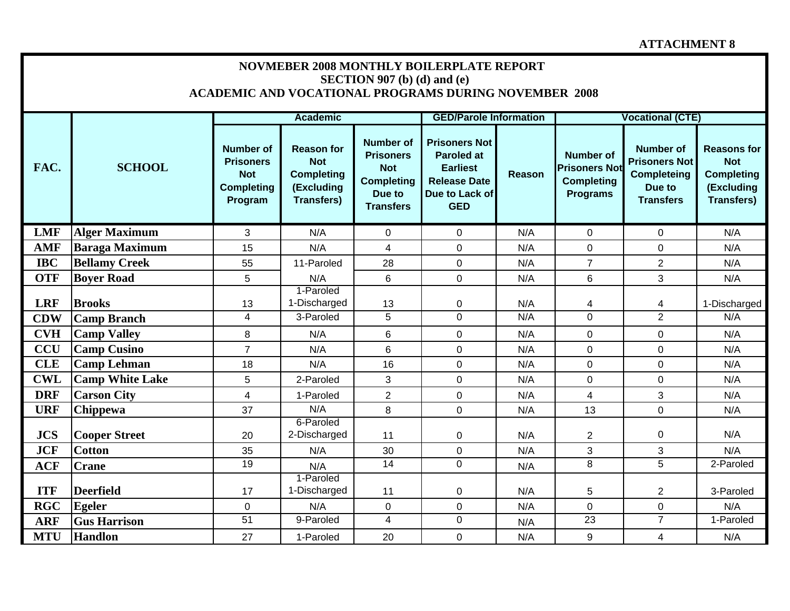## **ATTACHMENT 8**

|            |                        |                                                                                    |                                                                                         | SECTION 907 (b) (d) and (e)                                                                           | <b>NOVMEBER 2008 MONTHLY BOILERPLATE REPORT</b><br><b>ACADEMIC AND VOCATIONAL PROGRAMS DURING NOVEMBER 2008</b>     |               |                                                                                  |                                                                                              |                                                                                          |
|------------|------------------------|------------------------------------------------------------------------------------|-----------------------------------------------------------------------------------------|-------------------------------------------------------------------------------------------------------|---------------------------------------------------------------------------------------------------------------------|---------------|----------------------------------------------------------------------------------|----------------------------------------------------------------------------------------------|------------------------------------------------------------------------------------------|
|            |                        |                                                                                    | <b>Academic</b>                                                                         |                                                                                                       | <b>GED/Parole Information</b>                                                                                       |               |                                                                                  | <b>Vocational (CTE)</b>                                                                      |                                                                                          |
| FAC.       | <b>SCHOOL</b>          | <b>Number of</b><br><b>Prisoners</b><br><b>Not</b><br><b>Completing</b><br>Program | <b>Reason for</b><br><b>Not</b><br><b>Completing</b><br>(Excluding<br><b>Transfers)</b> | <b>Number of</b><br><b>Prisoners</b><br><b>Not</b><br><b>Completing</b><br>Due to<br><b>Transfers</b> | <b>Prisoners Not</b><br><b>Paroled at</b><br><b>Earliest</b><br><b>Release Date</b><br>Due to Lack of<br><b>GED</b> | <b>Reason</b> | <b>Number of</b><br><b>Prisoners Not</b><br><b>Completing</b><br><b>Programs</b> | <b>Number of</b><br><b>Prisoners Not</b><br><b>Completeing</b><br>Due to<br><b>Transfers</b> | <b>Reasons for</b><br><b>Not</b><br><b>Completing</b><br>(Excluding<br><b>Transfers)</b> |
| <b>LMF</b> | <b>Alger Maximum</b>   | 3                                                                                  | N/A                                                                                     | $\mathbf 0$                                                                                           | $\mathbf 0$                                                                                                         | N/A           | $\overline{0}$                                                                   | $\mathbf 0$                                                                                  | N/A                                                                                      |
| <b>AMF</b> | <b>Baraga Maximum</b>  | 15                                                                                 | N/A                                                                                     | $\overline{4}$                                                                                        | $\mathbf 0$                                                                                                         | N/A           | $\overline{0}$                                                                   | $\mathbf 0$                                                                                  | N/A                                                                                      |
| <b>IBC</b> | <b>Bellamy Creek</b>   | 55                                                                                 | 11-Paroled                                                                              | 28                                                                                                    | $\mathbf 0$                                                                                                         | N/A           | $\overline{7}$                                                                   | $\overline{2}$                                                                               | N/A                                                                                      |
| <b>OTF</b> | <b>Bover Road</b>      | 5                                                                                  | N/A                                                                                     | $6\phantom{1}$                                                                                        | $\mathbf 0$                                                                                                         | N/A           | 6                                                                                | 3                                                                                            | N/A                                                                                      |
| <b>LRF</b> | <b>Brooks</b>          | 13                                                                                 | 1-Paroled<br>1-Discharged<br>3-Paroled                                                  | 13                                                                                                    | 0<br>$\mathbf 0$                                                                                                    | N/A<br>N/A    | 4<br>$\Omega$                                                                    | 4<br>$\overline{2}$                                                                          | 1-Discharged<br>N/A                                                                      |
| <b>CDW</b> | <b>Camp Branch</b>     | $\overline{4}$                                                                     |                                                                                         | 5                                                                                                     |                                                                                                                     |               |                                                                                  |                                                                                              |                                                                                          |
| <b>CVH</b> | <b>Camp Valley</b>     | 8                                                                                  | N/A                                                                                     | 6                                                                                                     | $\mathbf 0$                                                                                                         | N/A           | $\overline{0}$                                                                   | 0                                                                                            | N/A                                                                                      |
| <b>CCU</b> | <b>Camp Cusino</b>     | $\overline{7}$                                                                     | N/A                                                                                     | 6                                                                                                     | 0                                                                                                                   | N/A           | $\mathbf 0$                                                                      | $\mathbf 0$                                                                                  | N/A                                                                                      |
| <b>CLE</b> | <b>Camp Lehman</b>     | 18                                                                                 | N/A                                                                                     | 16                                                                                                    | $\mathbf 0$                                                                                                         | N/A           | $\overline{0}$                                                                   | $\mathbf 0$                                                                                  | N/A                                                                                      |
| <b>CWL</b> | <b>Camp White Lake</b> | 5                                                                                  | 2-Paroled                                                                               | 3                                                                                                     | $\mathbf 0$                                                                                                         | N/A           | $\mathbf 0$                                                                      | 0                                                                                            | N/A                                                                                      |
| <b>DRF</b> | <b>Carson City</b>     | 4                                                                                  | 1-Paroled                                                                               | $\overline{2}$                                                                                        | $\pmb{0}$                                                                                                           | N/A           | $\overline{4}$                                                                   | 3                                                                                            | N/A                                                                                      |
| <b>URF</b> | Chippewa               | 37                                                                                 | N/A<br>6-Paroled                                                                        | 8                                                                                                     | $\mathbf 0$                                                                                                         | N/A           | 13                                                                               | $\overline{0}$                                                                               | N/A                                                                                      |
| <b>JCS</b> | <b>Cooper Street</b>   | 20                                                                                 | 2-Discharged                                                                            | 11                                                                                                    | $\pmb{0}$                                                                                                           | N/A           | $\overline{2}$                                                                   | 0                                                                                            | N/A                                                                                      |
| <b>JCF</b> | <b>Cotton</b>          | 35                                                                                 | N/A                                                                                     | 30                                                                                                    | 0                                                                                                                   | N/A           | 3                                                                                | 3                                                                                            | N/A                                                                                      |
| <b>ACF</b> | <b>Crane</b>           | $\overline{19}$                                                                    | N/A                                                                                     | $\overline{14}$                                                                                       | $\mathbf 0$                                                                                                         | N/A           | 8                                                                                | $\overline{5}$                                                                               | 2-Paroled                                                                                |
| <b>ITF</b> | <b>Deerfield</b>       | 17                                                                                 | 1-Paroled<br>1-Discharged                                                               | 11                                                                                                    | 0                                                                                                                   | N/A           | 5                                                                                | $\overline{c}$                                                                               | 3-Paroled                                                                                |
| <b>RGC</b> | <b>Egeler</b>          | $\mathbf 0$                                                                        | N/A                                                                                     | $\pmb{0}$                                                                                             | $\pmb{0}$                                                                                                           | N/A           | $\mathbf 0$                                                                      | 0                                                                                            | N/A                                                                                      |
| <b>ARF</b> | <b>Gus Harrison</b>    | $\overline{51}$                                                                    | 9-Paroled                                                                               | $\overline{4}$                                                                                        | $\mathbf 0$                                                                                                         | N/A           | $\overline{23}$                                                                  | $\overline{7}$                                                                               | 1-Paroled                                                                                |
| <b>MTU</b> | <b>Handlon</b>         | 27                                                                                 | 1-Paroled                                                                               | 20                                                                                                    | $\mathbf 0$                                                                                                         | N/A           | 9                                                                                | 4                                                                                            | N/A                                                                                      |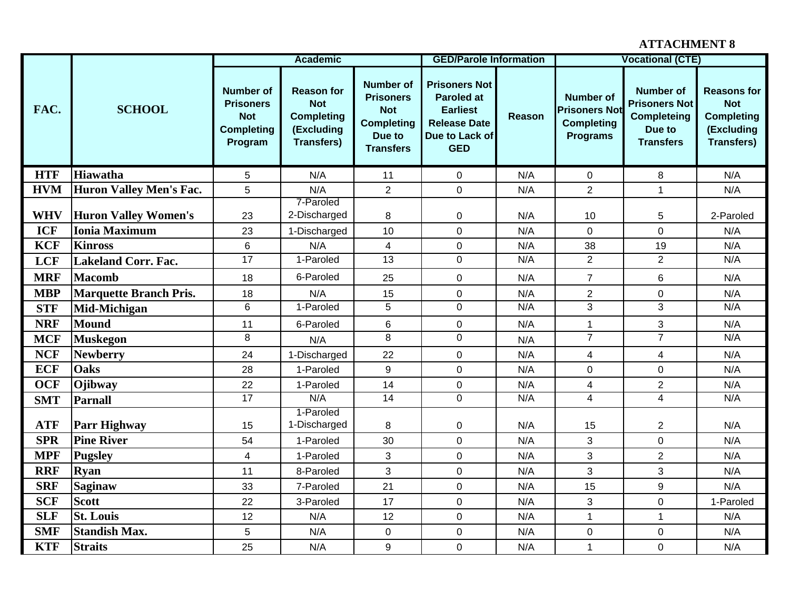## **ATTACHMENT 8**

|                          |                                                     |                                                                                    | <b>Academic</b>                                                                         |                                                                                                       | <b>GED/Parole Information</b>                                                                                       |            |                                                                                  | <b>Vocational (CTE)</b>                                                                      |                                                                                          |
|--------------------------|-----------------------------------------------------|------------------------------------------------------------------------------------|-----------------------------------------------------------------------------------------|-------------------------------------------------------------------------------------------------------|---------------------------------------------------------------------------------------------------------------------|------------|----------------------------------------------------------------------------------|----------------------------------------------------------------------------------------------|------------------------------------------------------------------------------------------|
| FAC.                     | <b>SCHOOL</b>                                       | <b>Number of</b><br><b>Prisoners</b><br><b>Not</b><br><b>Completing</b><br>Program | <b>Reason for</b><br><b>Not</b><br><b>Completing</b><br>(Excluding<br><b>Transfers)</b> | <b>Number of</b><br><b>Prisoners</b><br><b>Not</b><br><b>Completing</b><br>Due to<br><b>Transfers</b> | <b>Prisoners Not</b><br><b>Paroled at</b><br><b>Earliest</b><br><b>Release Date</b><br>Due to Lack of<br><b>GED</b> | Reason     | <b>Number of</b><br><b>Prisoners Not</b><br><b>Completing</b><br><b>Programs</b> | <b>Number of</b><br><b>Prisoners Not</b><br><b>Completeing</b><br>Due to<br><b>Transfers</b> | <b>Reasons for</b><br><b>Not</b><br><b>Completing</b><br>(Excluding<br><b>Transfers)</b> |
| <b>HTF</b>               | <b>Hiawatha</b>                                     | 5                                                                                  | N/A                                                                                     | 11                                                                                                    | 0                                                                                                                   | N/A        | 0                                                                                | 8                                                                                            | N/A                                                                                      |
| <b>HVM</b>               | <b>Huron Valley Men's Fac.</b>                      | 5                                                                                  | N/A                                                                                     | $\overline{2}$                                                                                        | $\mathbf 0$                                                                                                         | N/A        | $\overline{2}$                                                                   | $\mathbf{1}$                                                                                 | N/A                                                                                      |
| <b>WHV</b><br><b>ICF</b> | <b>Huron Valley Women's</b><br><b>Ionia Maximum</b> | 23<br>23                                                                           | 7-Paroled<br>2-Discharged<br>1-Discharged                                               | 8<br>10                                                                                               | 0<br>0                                                                                                              | N/A<br>N/A | 10<br>$\overline{0}$                                                             | 5<br>0                                                                                       | 2-Paroled<br>N/A                                                                         |
| <b>KCF</b>               | <b>Kinross</b>                                      | 6                                                                                  | N/A                                                                                     | $\overline{4}$                                                                                        | 0                                                                                                                   | N/A        | 38                                                                               | 19                                                                                           | N/A                                                                                      |
| <b>LCF</b>               | <b>Lakeland Corr. Fac.</b>                          | 17                                                                                 | 1-Paroled                                                                               | $\overline{13}$                                                                                       | $\mathbf 0$                                                                                                         | N/A        | $\overline{2}$                                                                   | $\overline{2}$                                                                               | N/A                                                                                      |
| <b>MRF</b>               | <b>Macomb</b>                                       | 18                                                                                 | 6-Paroled                                                                               | 25                                                                                                    | $\mathbf 0$                                                                                                         | N/A        | $\overline{7}$                                                                   | 6                                                                                            | N/A                                                                                      |
| <b>MBP</b>               | <b>Marquette Branch Pris.</b>                       |                                                                                    | N/A                                                                                     | 15                                                                                                    | 0                                                                                                                   | N/A        | $\overline{2}$                                                                   | 0                                                                                            | N/A                                                                                      |
| <b>STF</b>               | Mid-Michigan                                        | 18<br>$\overline{6}$                                                               | 1-Paroled                                                                               | $\overline{5}$                                                                                        | $\pmb{0}$                                                                                                           | N/A        | $\overline{3}$                                                                   | $\overline{3}$                                                                               | N/A                                                                                      |
| <b>NRF</b>               | <b>Mound</b>                                        | 11                                                                                 | 6-Paroled                                                                               | $\,6\,$                                                                                               | $\mathbf 0$                                                                                                         | N/A        | $\mathbf{1}$                                                                     | 3                                                                                            | N/A                                                                                      |
| <b>MCF</b>               | <b>Muskegon</b>                                     | 8                                                                                  | N/A                                                                                     | 8                                                                                                     | $\mathbf 0$                                                                                                         | N/A        | $\overline{7}$                                                                   | $\overline{7}$                                                                               | N/A                                                                                      |
| <b>NCF</b>               | <b>Newberry</b>                                     | 24                                                                                 | 1-Discharged                                                                            | 22                                                                                                    | 0                                                                                                                   | N/A        | $\overline{4}$                                                                   | $\overline{\mathbf{4}}$                                                                      | N/A                                                                                      |
| <b>ECF</b>               | <b>Oaks</b>                                         | 28                                                                                 | 1-Paroled                                                                               | 9                                                                                                     | $\mathbf 0$                                                                                                         | N/A        | $\mathbf 0$                                                                      | 0                                                                                            | N/A                                                                                      |
| <b>OCF</b>               | Ojibway                                             | 22                                                                                 | 1-Paroled                                                                               | 14                                                                                                    | $\pmb{0}$                                                                                                           | N/A        | $\overline{\mathbf{4}}$                                                          | $\overline{2}$                                                                               | N/A                                                                                      |
| <b>SMT</b>               | <b>Parnall</b>                                      | 17                                                                                 | N/A                                                                                     | $\overline{14}$                                                                                       | 0                                                                                                                   | N/A        | $\overline{\mathbf{4}}$                                                          | $\overline{4}$                                                                               | N/A                                                                                      |
| <b>ATF</b>               | <b>Parr Highway</b>                                 | 15                                                                                 | 1-Paroled<br>1-Discharged                                                               | 8                                                                                                     | 0                                                                                                                   | N/A        | 15                                                                               | 2                                                                                            | N/A                                                                                      |
| <b>SPR</b>               | <b>Pine River</b>                                   | 54                                                                                 | 1-Paroled                                                                               | 30                                                                                                    | 0                                                                                                                   | N/A        | 3                                                                                | 0                                                                                            | N/A                                                                                      |
| <b>MPF</b>               | <b>Pugsley</b>                                      | 4                                                                                  | 1-Paroled                                                                               | 3                                                                                                     | $\mathbf 0$                                                                                                         | N/A        | 3                                                                                | $\overline{c}$                                                                               | N/A                                                                                      |
| <b>RRF</b>               | <b>Ryan</b>                                         | 11                                                                                 | 8-Paroled                                                                               | 3                                                                                                     | 0                                                                                                                   | N/A        | 3                                                                                | 3                                                                                            | N/A                                                                                      |
| <b>SRF</b>               | <b>Saginaw</b>                                      | 33                                                                                 | 7-Paroled                                                                               | 21                                                                                                    | $\mathbf 0$                                                                                                         | N/A        | 15                                                                               | 9                                                                                            | N/A                                                                                      |
| <b>SCF</b>               | <b>Scott</b>                                        | 22                                                                                 | 3-Paroled                                                                               | 17                                                                                                    | 0                                                                                                                   | N/A        | 3                                                                                | 0                                                                                            | 1-Paroled                                                                                |
| <b>SLF</b>               | <b>St. Louis</b>                                    | 12                                                                                 | N/A                                                                                     | 12                                                                                                    | $\mathbf 0$                                                                                                         | N/A        | $\mathbf{1}$                                                                     | 1                                                                                            | N/A                                                                                      |
| <b>SMF</b>               | <b>Standish Max.</b>                                | $\overline{5}$                                                                     | N/A                                                                                     | $\mathbf 0$                                                                                           | $\mathbf 0$                                                                                                         | N/A        | $\mathbf 0$                                                                      | 0                                                                                            | N/A                                                                                      |
| <b>KTF</b>               | <b>Straits</b>                                      | 25                                                                                 | N/A                                                                                     | 9                                                                                                     | $\mathbf 0$                                                                                                         | N/A        | $\mathbf{1}$                                                                     | 0                                                                                            | N/A                                                                                      |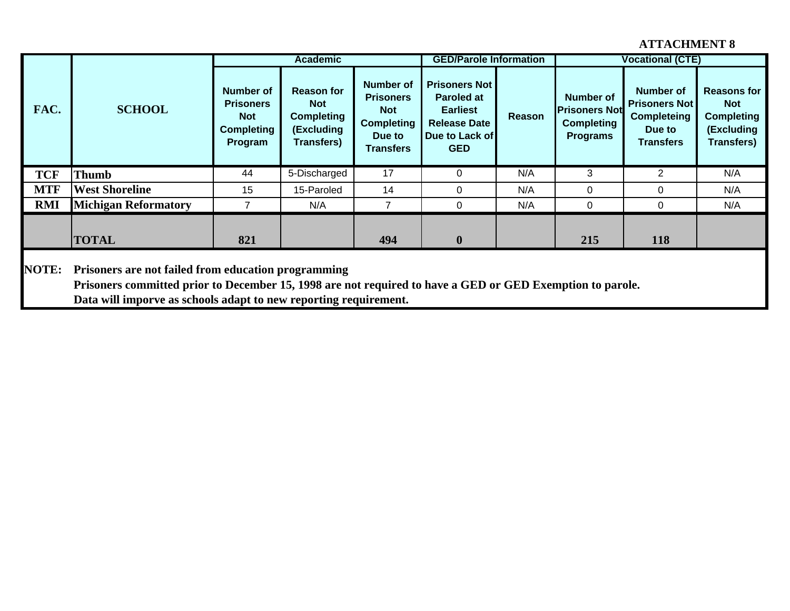## **ATTACHMENT 8**

|              |                                                                                                                                                                                                                                      |                                                                             | <b>Academic</b>                                                                         |                                                                                                | <b>GED/Parole Information</b>                                                                                       |        |                                                                                  | <b>Vocational (CTE)</b>                                                                      |                                                                                          |
|--------------|--------------------------------------------------------------------------------------------------------------------------------------------------------------------------------------------------------------------------------------|-----------------------------------------------------------------------------|-----------------------------------------------------------------------------------------|------------------------------------------------------------------------------------------------|---------------------------------------------------------------------------------------------------------------------|--------|----------------------------------------------------------------------------------|----------------------------------------------------------------------------------------------|------------------------------------------------------------------------------------------|
| FAC.         | <b>SCHOOL</b>                                                                                                                                                                                                                        | Number of<br><b>Prisoners</b><br><b>Not</b><br><b>Completing</b><br>Program | <b>Reason for</b><br><b>Not</b><br><b>Completing</b><br>(Excluding<br><b>Transfers)</b> | <b>Number of</b><br><b>Prisoners</b><br><b>Not</b><br><b>Completing</b><br>Due to<br>Transfers | <b>Prisoners Not</b><br><b>Paroled at</b><br><b>Earliest</b><br><b>Release Date</b><br>Due to Lack of<br><b>GED</b> | Reason | <b>Number of</b><br><b>Prisoners Not</b><br><b>Completing</b><br><b>Programs</b> | <b>Number of</b><br><b>Prisoners Not</b><br><b>Completeing</b><br>Due to<br><b>Transfers</b> | <b>Reasons for</b><br><b>Not</b><br><b>Completing</b><br>(Excluding<br><b>Transfers)</b> |
| <b>TCF</b>   | <b>Thumb</b>                                                                                                                                                                                                                         | 44                                                                          | 5-Discharged                                                                            | 17                                                                                             | 0                                                                                                                   | N/A    | 3                                                                                | $\overline{2}$                                                                               | N/A                                                                                      |
| <b>MTF</b>   | <b>West Shoreline</b>                                                                                                                                                                                                                | 15                                                                          | 15-Paroled                                                                              | 14                                                                                             | $\Omega$                                                                                                            | N/A    | $\Omega$                                                                         | 0                                                                                            | N/A                                                                                      |
| <b>RMI</b>   | <b>Michigan Reformatory</b>                                                                                                                                                                                                          | 7                                                                           | N/A                                                                                     | $\overline{7}$                                                                                 | $\Omega$                                                                                                            | N/A    | $\Omega$                                                                         | 0                                                                                            | N/A                                                                                      |
|              |                                                                                                                                                                                                                                      |                                                                             |                                                                                         |                                                                                                |                                                                                                                     |        |                                                                                  |                                                                                              |                                                                                          |
|              | <b>TOTAL</b>                                                                                                                                                                                                                         | 821                                                                         |                                                                                         | 494                                                                                            | $\mathbf{0}$                                                                                                        |        | 215                                                                              | 118                                                                                          |                                                                                          |
| <b>NOTE:</b> | Prisoners are not failed from education programming<br>Prisoners committed prior to December 15, 1998 are not required to have a GED or GED Exemption to parole.<br>Data will imporve as schools adapt to new reporting requirement. |                                                                             |                                                                                         |                                                                                                |                                                                                                                     |        |                                                                                  |                                                                                              |                                                                                          |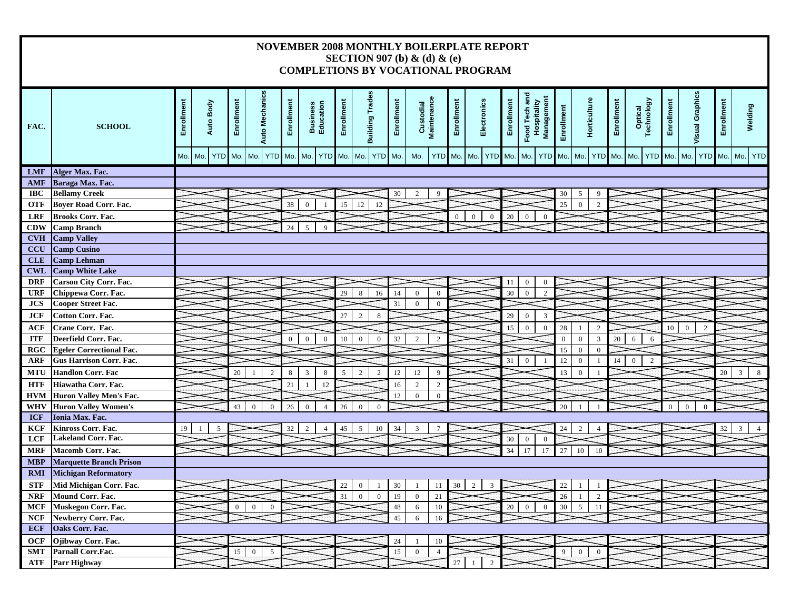#### **NOVEMBER 2008 MONTHLY BOILERPLATE REPORT SECTION 907 (b) & (d) & (e) COMPLETIONS BY VOCATIONAL PROGRAM**

| FAC.       | <b>SCHOOL</b>                   | Enrollment | Auto Body | Enrollment | <b>Auto Mechanics</b>            | Enrollment     | <b>Business</b><br>Education               | Enrollment | <b>Building Trades</b>           | Enrollment | Custodial<br>Maintenance |                | Enrollment   | Electronics                      | Enrollment | Food Tech and<br>Management<br>Hospitality | Enrollment     | Horticulture                     | Enrollment | Optical<br>Technology          | Enrollment       | <b>Visual Graphics</b> | Enrollment | Welding    |
|------------|---------------------------------|------------|-----------|------------|----------------------------------|----------------|--------------------------------------------|------------|----------------------------------|------------|--------------------------|----------------|--------------|----------------------------------|------------|--------------------------------------------|----------------|----------------------------------|------------|--------------------------------|------------------|------------------------|------------|------------|
|            |                                 | Mo. Mo.    | YTD Mo.   |            | Mo.<br>YTD Mo. Mo.               |                | <b>YTD</b>                                 | Mo.        | YTD Mo.<br>Mo.                   |            | Mo.                      | YTD Mo.        |              | Mo. YTD Mo.                      |            | <b>YTD</b><br>Mo.                          |                | Mo. Mo.<br>YTD Mo.               |            | Mo.<br><b>YTD</b>              | Mo.              | Mo.<br><b>YTD</b>      | Mo. Mo.    | <b>YTD</b> |
| <b>LMF</b> | Alger Max. Fac.                 |            |           |            |                                  |                |                                            |            |                                  |            |                          |                |              |                                  |            |                                            |                |                                  |            |                                |                  |                        |            |            |
| <b>AMF</b> | Baraga Max. Fac.                |            |           |            |                                  |                |                                            |            |                                  |            |                          |                |              |                                  |            |                                            |                |                                  |            |                                |                  |                        |            |            |
| <b>IBC</b> | <b>Bellamy Creek</b>            |            |           |            |                                  |                |                                            |            |                                  | 30         |                          |                |              |                                  |            |                                            | 30             | 5<br>$\mathbf Q$                 |            |                                |                  |                        |            |            |
| <b>OTF</b> | <b>Boyer Road Corr. Fac.</b>    |            |           |            |                                  | 38             | $\Omega$                                   | 15         | 12<br>12                         |            |                          |                |              |                                  |            |                                            | 25             | $\theta$<br>$\overline{2}$       |            |                                |                  |                        |            |            |
| <b>LRF</b> | <b>Brooks Corr. Fac.</b>        |            |           |            |                                  |                |                                            |            |                                  |            |                          |                | $\mathbf{0}$ | $\overline{0}$<br>$\mathbf{0}$   | 20         | $\mathbf{0}$<br>$\mathbf{0}$               |                |                                  |            |                                |                  |                        |            |            |
| <b>CDW</b> | <b>Camp Branch</b>              |            |           |            |                                  | 24             | $\overline{Q}$<br>$\overline{\phantom{a}}$ |            |                                  |            |                          |                |              |                                  |            |                                            |                |                                  |            |                                |                  |                        |            |            |
| <b>CVH</b> | <b>Camp Valley</b>              |            |           |            |                                  |                |                                            |            |                                  |            |                          |                |              |                                  |            |                                            |                |                                  |            |                                |                  |                        |            |            |
| <b>CCU</b> | <b>Camp Cusino</b>              |            |           |            |                                  |                |                                            |            |                                  |            |                          |                |              |                                  |            |                                            |                |                                  |            |                                |                  |                        |            |            |
| <b>CLE</b> | <b>Camp Lehman</b>              |            |           |            |                                  |                |                                            |            |                                  |            |                          |                |              |                                  |            |                                            |                |                                  |            |                                |                  |                        |            |            |
| <b>CWL</b> | <b>Camp White Lake</b>          |            |           |            |                                  |                |                                            |            |                                  |            |                          |                |              |                                  |            |                                            |                |                                  |            |                                |                  |                        |            |            |
| <b>DRF</b> | <b>Carson City Corr. Fac.</b>   |            |           |            |                                  |                |                                            |            |                                  |            |                          |                |              |                                  | 11         | $\overline{0}$<br>$\overline{0}$           |                |                                  |            |                                |                  |                        |            |            |
| <b>URF</b> | Chippewa Corr. Fac.             |            |           |            |                                  |                |                                            | 29         | 8<br>16                          | 14         | $\theta$                 | $\Omega$       |              |                                  | 30         | $\theta$<br>2                              |                |                                  |            |                                |                  |                        |            |            |
| <b>JCS</b> | <b>Cooper Street Fac.</b>       |            |           |            |                                  |                |                                            |            |                                  | 31         | $\mathbf{0}$             | $\overline{0}$ |              |                                  |            |                                            |                |                                  |            |                                |                  |                        |            |            |
| <b>JCF</b> | <b>Cotton Corr. Fac.</b>        |            |           |            |                                  |                |                                            | 27         | 2<br>$\bf 8$                     |            |                          |                |              |                                  | 29         | $\overline{3}$<br>$\mathbf{0}$             |                |                                  |            |                                |                  |                        |            |            |
| <b>ACF</b> | Crane Corr. Fac.                |            |           |            |                                  |                |                                            |            |                                  |            |                          |                |              |                                  | 15         | $\mathbf{0}$<br>$\boldsymbol{0}$           | 28             | $\overline{2}$<br>-1             |            |                                | 10 <sup>10</sup> | $\mathbf{0}$<br>2      |            |            |
| <b>ITF</b> | Deerfield Corr. Fac.            |            |           |            |                                  | $\overline{0}$ | $\overline{0}$<br>$\mathbf{0}$             | 10         | $\mathbf{0}$<br>$\overline{0}$   | 32         | $\overline{2}$           | $\overline{2}$ |              |                                  |            |                                            | $\overline{0}$ | $\overline{3}$<br>$\overline{0}$ | 20         | 6<br>6                         |                  |                        |            |            |
| <b>RGC</b> | <b>Egeler Correctional Fac.</b> |            |           |            |                                  |                |                                            |            |                                  |            |                          |                |              |                                  |            |                                            | 15             | $\overline{0}$<br>$\theta$       |            |                                |                  |                        |            |            |
| <b>ARF</b> | <b>Gus Harrison Corr. Fac.</b>  |            |           |            |                                  |                |                                            |            |                                  |            |                          |                |              |                                  | 31         | $\theta$                                   | 12             | $\mathbf{0}$<br>$\mathbf{1}$     | 14         | $\mathbf{0}$<br>$\overline{2}$ |                  |                        |            |            |
| <b>MTU</b> | <b>Handlon Corr. Fac</b>        |            |           | 20         | $\overline{2}$<br>$\mathbf{1}$   | 8              | 3<br>$\,8\,$                               | 5          | $\overline{c}$<br>$\overline{2}$ | 12         | 12                       | 9              |              |                                  |            |                                            | 13             | $\mathbf{0}$                     |            |                                |                  |                        | 20         | 3<br>8     |
| <b>HTF</b> | Hiawatha Corr. Fac.             |            |           |            |                                  | 21             | 12<br>$\overline{1}$                       |            |                                  | 16         | $\overline{2}$           | $\overline{2}$ |              |                                  |            |                                            |                |                                  |            |                                |                  |                        |            |            |
| <b>HVM</b> | <b>Huron Valley Men's Fac.</b>  |            |           |            |                                  |                |                                            |            |                                  | 12         | $\mathbf{0}$             | $\overline{0}$ |              |                                  |            |                                            |                |                                  |            |                                |                  |                        |            |            |
| WHV        | <b>Huron Valley Women's</b>     |            |           | 43         | $\theta$<br>$\mathbf{0}$         | 26             | $\Omega$<br>$\overline{4}$                 | 26         | $\Omega$                         |            |                          |                |              |                                  |            |                                            | 20             |                                  |            |                                | $\Omega$         | $\theta$<br>$\Omega$   |            |            |
| <b>ICF</b> | Ionia Max. Fac.                 |            |           |            |                                  |                |                                            |            |                                  |            |                          |                |              |                                  |            |                                            |                |                                  |            |                                |                  |                        |            |            |
| <b>KCF</b> | Kinross Corr. Fac.              | 19         |           |            |                                  | 32             | $\overline{4}$                             | 45         | 10<br>$\overline{\phantom{0}}$   | 34         |                          |                |              |                                  |            |                                            | 24             | $\mathcal{D}$                    |            |                                |                  |                        | 32         | 3          |
| LCF        | Lakeland Corr. Fac.             |            |           |            |                                  |                |                                            |            |                                  |            |                          |                |              |                                  | 30         | $\boldsymbol{0}$<br>$\mathbf{0}$           |                |                                  |            |                                |                  |                        |            |            |
| <b>MRF</b> | <b>Macomb Corr. Fac.</b>        |            |           |            |                                  |                |                                            |            |                                  |            |                          |                |              |                                  | 34         | 17<br>17                                   | 27             | 10<br>10                         |            |                                |                  |                        |            |            |
| <b>MBP</b> | <b>Marquette Branch Prison</b>  |            |           |            |                                  |                |                                            |            |                                  |            |                          |                |              |                                  |            |                                            |                |                                  |            |                                |                  |                        |            |            |
| <b>RMI</b> | <b>Michigan Reformatory</b>     |            |           |            |                                  |                |                                            |            |                                  |            |                          |                |              |                                  |            |                                            |                |                                  |            |                                |                  |                        |            |            |
| <b>STF</b> | Mid Michigan Corr. Fac.         |            |           |            |                                  |                |                                            | $22\,$     | $\overline{0}$                   | 30         | $\overline{1}$           | 11             | 30           | 2<br>3                           |            |                                            | $22\,$         |                                  |            |                                |                  |                        |            |            |
| <b>NRF</b> | <b>Mound Corr. Fac.</b>         |            |           |            |                                  |                |                                            | 31         | $\mathbf{0}$<br>$\overline{0}$   | 19         | $\overline{0}$           | 21             |              |                                  |            |                                            | 26             | $\mathcal{L}$                    |            |                                |                  |                        |            |            |
| <b>MCF</b> | Muskegon Corr. Fac.             |            |           | $\Omega$   | $\overline{0}$<br>$\Omega$       |                |                                            |            |                                  | 48         | 6                        | 10             |              |                                  | 20         | $\theta$<br>$\overline{0}$                 | 30             | $\overline{5}$<br>11             |            |                                |                  |                        |            |            |
| <b>NCF</b> | Newberry Corr. Fac.             |            |           |            |                                  |                |                                            |            |                                  | 45         | 6                        | 16             |              |                                  |            |                                            |                |                                  |            |                                |                  |                        |            |            |
| <b>ECF</b> | Oaks Corr. Fac.                 |            |           |            |                                  |                |                                            |            |                                  |            |                          |                |              |                                  |            |                                            |                |                                  |            |                                |                  |                        |            |            |
| <b>OCF</b> | Ojibway Corr. Fac.              |            |           |            |                                  |                |                                            |            |                                  | 24         |                          | 10             |              |                                  |            |                                            |                |                                  |            |                                |                  |                        |            |            |
| <b>SMT</b> | Parnall Corr.Fac.               |            |           | 15         | $\overline{0}$<br>$\overline{5}$ |                |                                            |            |                                  | 15         | $\mathbf{0}$             | $\overline{4}$ |              |                                  |            |                                            | $\overline{9}$ | $\mathbf{0}$<br>$\overline{0}$   |            |                                |                  |                        |            |            |
| ATF        | <b>Parr Highway</b>             |            |           |            |                                  |                |                                            |            |                                  |            |                          |                | 27           | $\overline{2}$<br>$\overline{1}$ |            |                                            |                |                                  |            |                                |                  |                        |            |            |